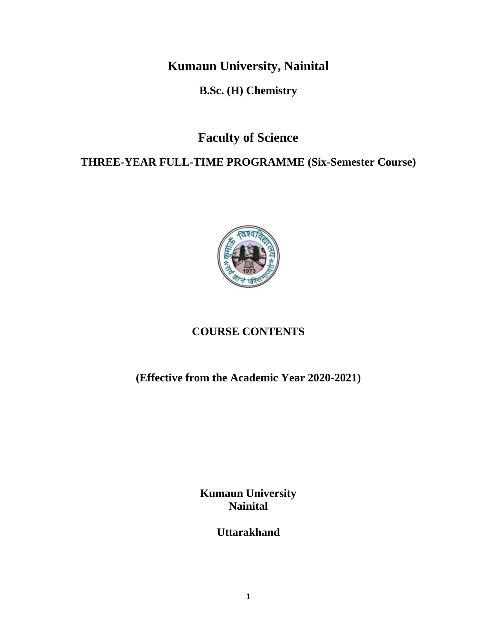**Kumaun University, Nainital**

**B.Sc. (H) Chemistry**

**Faculty of Science**

**THREE-YEAR FULL-TIME PROGRAMME (Six-Semester Course)**



# **COURSE CONTENTS**

**(Effective from the Academic Year 2020-2021)**

**Kumaun University Nainital**

**Uttarakhand**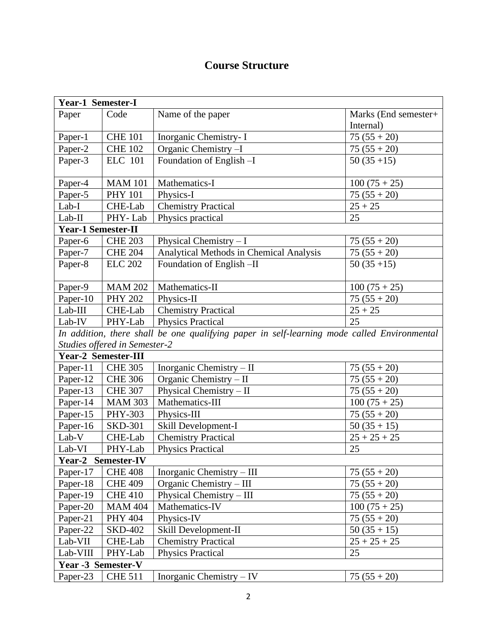# **Course Structure**

| <b>Year-1 Semester-I</b>  |                               |                                                                                             |                      |  |  |
|---------------------------|-------------------------------|---------------------------------------------------------------------------------------------|----------------------|--|--|
| Paper                     | Code                          | Name of the paper                                                                           | Marks (End semester+ |  |  |
|                           |                               |                                                                                             | Internal)            |  |  |
| Paper-1                   | <b>CHE 101</b>                | Inorganic Chemistry- I                                                                      | $75(55+20)$          |  |  |
| Paper-2                   | <b>CHE 102</b>                | Organic Chemistry -I                                                                        | $75(55+20)$          |  |  |
| Paper-3                   | <b>ELC</b> 101                | Foundation of English-I                                                                     | $50(35+15)$          |  |  |
|                           |                               |                                                                                             |                      |  |  |
| Paper-4                   | <b>MAM 101</b>                | Mathematics-I                                                                               | $100(75+25)$         |  |  |
| Paper-5                   | <b>PHY 101</b>                | Physics-I                                                                                   | $75(55+20)$          |  |  |
| $Lab-I$                   | CHE-Lab                       | <b>Chemistry Practical</b>                                                                  | $25 + 25$            |  |  |
| $Lab-II$                  | PHY-Lab                       | Physics practical                                                                           | 25                   |  |  |
| <b>Year-1 Semester-II</b> |                               |                                                                                             |                      |  |  |
| Paper-6                   | <b>CHE 203</b>                | Physical Chemistry $-I$                                                                     | $75(55+20)$          |  |  |
| Paper-7                   | <b>CHE 204</b>                | Analytical Methods in Chemical Analysis                                                     | $75(55+20)$          |  |  |
| Paper-8                   | <b>ELC 202</b>                | Foundation of English-II                                                                    | $50(35+15)$          |  |  |
|                           |                               |                                                                                             |                      |  |  |
| Paper-9                   | <b>MAM 202</b>                | Mathematics-II                                                                              | $100(75+25)$         |  |  |
| Paper-10                  | <b>PHY 202</b>                | Physics-II                                                                                  | $75(55+20)$          |  |  |
| Lab-III                   | CHE-Lab                       | <b>Chemistry Practical</b>                                                                  | $25 + 25$            |  |  |
| Lab-IV                    | PHY-Lab                       | <b>Physics Practical</b>                                                                    | 25                   |  |  |
|                           |                               | In addition, there shall be one qualifying paper in self-learning mode called Environmental |                      |  |  |
|                           | Studies offered in Semester-2 |                                                                                             |                      |  |  |
|                           | <b>Year-2 Semester-III</b>    |                                                                                             |                      |  |  |
| Paper-11                  | <b>CHE 305</b>                | Inorganic Chemistry - II                                                                    | $75(55+20)$          |  |  |
| Paper-12                  | <b>CHE 306</b>                | Organic Chemistry - II                                                                      | $75(55+20)$          |  |  |
| Paper-13                  | <b>CHE 307</b>                | Physical Chemistry - II                                                                     | $75(55+20)$          |  |  |
| Paper-14                  | <b>MAM 303</b>                | Mathematics-III                                                                             | $100(75+25)$         |  |  |
| Paper-15                  | PHY-303                       | Physics-III                                                                                 | $75(55+20)$          |  |  |
| Paper-16                  | <b>SKD-301</b>                | Skill Development-I                                                                         | $50(35+15)$          |  |  |
| Lab-V                     | CHE-Lab                       | <b>Chemistry Practical</b>                                                                  | $25 + 25 + 25$       |  |  |
| Lab-VI                    | PHY-Lab                       | <b>Physics Practical</b>                                                                    | 25                   |  |  |
| Year-2 Semester-IV        |                               |                                                                                             |                      |  |  |
| Paper-17                  | <b>CHE 408</b>                | Inorganic Chemistry - III                                                                   | $75(55+20)$          |  |  |
| Paper-18                  | <b>CHE 409</b>                | Organic Chemistry - III                                                                     | $75(55+20)$          |  |  |
| Paper-19                  | <b>CHE 410</b>                | Physical Chemistry – III                                                                    | $75(55+20)$          |  |  |
| Paper-20                  | <b>MAM 404</b>                | Mathematics-IV                                                                              | $100(75+25)$         |  |  |
| Paper-21                  | <b>PHY 404</b>                | Physics-IV                                                                                  | $75(55+20)$          |  |  |
| Paper-22                  | <b>SKD-402</b>                | Skill Development-II                                                                        | $50(35+15)$          |  |  |
| Lab-VII                   | CHE-Lab                       | <b>Chemistry Practical</b>                                                                  | $25 + 25 + 25$       |  |  |
| Lab-VIII                  | PHY-Lab                       | <b>Physics Practical</b>                                                                    | 25                   |  |  |
| Year -3 Semester-V        |                               |                                                                                             |                      |  |  |
| Paper-23                  | <b>CHE 511</b>                | Inorganic Chemistry - IV                                                                    | $75(55+20)$          |  |  |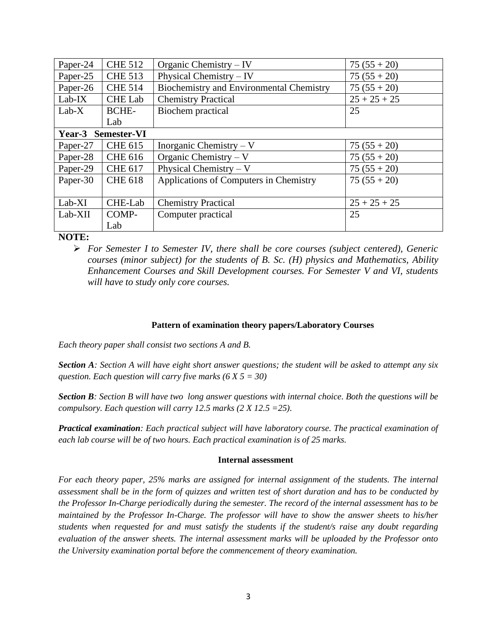| Paper-24           | <b>CHE 512</b> | Organic Chemistry $-$ IV                        | $75(55+20)$    |  |  |
|--------------------|----------------|-------------------------------------------------|----------------|--|--|
| Paper-25           | <b>CHE 513</b> | Physical Chemistry $-$ IV                       | $75(55+20)$    |  |  |
| Paper-26           | <b>CHE 514</b> | <b>Biochemistry and Environmental Chemistry</b> | $75(55+20)$    |  |  |
| $Lab-IX$           | <b>CHE Lab</b> | <b>Chemistry Practical</b>                      | $25 + 25 + 25$ |  |  |
| $Lab-X$            | <b>BCHE-</b>   | Biochem practical                               | 25             |  |  |
|                    | Lab            |                                                 |                |  |  |
| Year-3 Semester-VI |                |                                                 |                |  |  |
| Paper-27           | <b>CHE 615</b> | Inorganic Chemistry $-V$                        | $75(55+20)$    |  |  |
| Paper-28           | <b>CHE 616</b> | Organic Chemistry – $V$                         | $75(55+20)$    |  |  |
| Paper-29           | <b>CHE 617</b> | Physical Chemistry – $V$                        | $75(55+20)$    |  |  |
| Paper-30           | <b>CHE 618</b> | Applications of Computers in Chemistry          | $75(55+20)$    |  |  |
| $Lab-XI$           | CHE-Lab        | <b>Chemistry Practical</b>                      | $25 + 25 + 25$ |  |  |
| Lab-XII            | COMP-          | Computer practical                              | 25             |  |  |
|                    | Lab            |                                                 |                |  |  |

#### **NOTE:**

➢ *For Semester I to Semester IV, there shall be core courses (subject centered), Generic courses (minor subject) for the students of B. Sc. (H) physics and Mathematics, Ability Enhancement Courses and Skill Development courses. For Semester V and VI, students will have to study only core courses.*

#### **Pattern of examination theory papers/Laboratory Courses**

*Each theory paper shall consist two sections A and B.*

*Section A: Section A will have eight short answer questions; the student will be asked to attempt any six question. Each question will carry five marks (6 X 5 = 30)*

*Section B: Section B will have two long answer questions with internal choice. Both the questions will be compulsory. Each question will carry 12.5 marks (2 X 12.5 =25).*

*Practical examination: Each practical subject will have laboratory course. The practical examination of each lab course will be of two hours. Each practical examination is of 25 marks.*

#### **Internal assessment**

*For each theory paper, 25% marks are assigned for internal assignment of the students. The internal assessment shall be in the form of quizzes and written test of short duration and has to be conducted by the Professor In-Charge periodically during the semester. The record of the internal assessment has to be maintained by the Professor In-Charge. The professor will have to show the answer sheets to his/her students when requested for and must satisfy the students if the student/s raise any doubt regarding evaluation of the answer sheets. The internal assessment marks will be uploaded by the Professor onto the University examination portal before the commencement of theory examination.*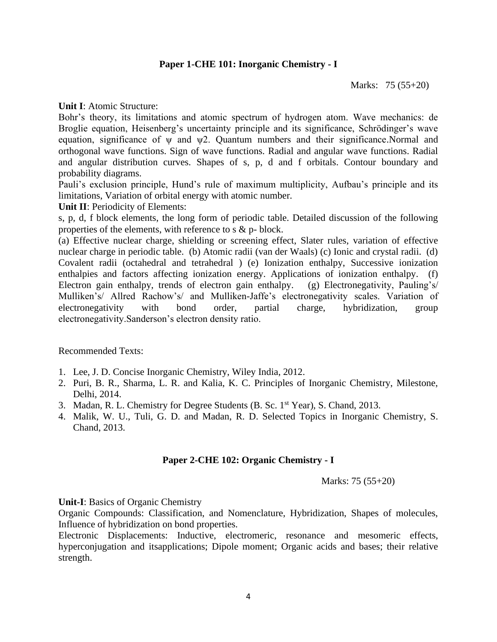#### **Paper 1-CHE 101: Inorganic Chemistry - I**

Marks: 75 (55+20)

**Unit I**: Atomic Structure:

Bohr's theory, its limitations and atomic spectrum of hydrogen atom. Wave mechanics: de Broglie equation, Heisenberg's uncertainty principle and its significance, Schrödinger's wave equation, significance of ψ and ψ2. Quantum numbers and their significance.Normal and orthogonal wave functions. Sign of wave functions. Radial and angular wave functions. Radial and angular distribution curves. Shapes of s, p, d and f orbitals. Contour boundary and probability diagrams.

Pauli's exclusion principle, Hund's rule of maximum multiplicity, Aufbau's principle and its limitations, Variation of orbital energy with atomic number.

**Unit II**: Periodicity of Elements:

s, p, d, f block elements, the long form of periodic table. Detailed discussion of the following properties of the elements, with reference to s & p- block.

(a) Effective nuclear charge, shielding or screening effect, Slater rules, variation of effective nuclear charge in periodic table. (b) Atomic radii (van der Waals) (c) Ionic and crystal radii. (d) Covalent radii (octahedral and tetrahedral ) (e) Ionization enthalpy, Successive ionization enthalpies and factors affecting ionization energy. Applications of ionization enthalpy. (f) Electron gain enthalpy, trends of electron gain enthalpy. (g) Electronegativity, Pauling's/ Mulliken's/ Allred Rachow's/ and Mulliken-Jaffe's electronegativity scales. Variation of electronegativity with bond order, partial charge, hybridization, group electronegativity.Sanderson's electron density ratio.

Recommended Texts:

- 1. Lee, J. D. Concise Inorganic Chemistry, Wiley India, 2012.
- 2. Puri, B. R., Sharma, L. R. and Kalia, K. C. Principles of Inorganic Chemistry, Milestone, Delhi, 2014.
- 3. Madan, R. L. Chemistry for Degree Students (B. Sc. 1st Year), S. Chand, 2013.
- 4. Malik, W. U., Tuli, G. D. and Madan, R. D. Selected Topics in Inorganic Chemistry, S. Chand, 2013.

#### **Paper 2-CHE 102: Organic Chemistry - I**

Marks: 75 (55+20)

**Unit-I**: Basics of Organic Chemistry

Organic Compounds: Classification, and Nomenclature, Hybridization, Shapes of molecules, Influence of hybridization on bond properties.

Electronic Displacements: Inductive, electromeric, resonance and mesomeric effects, hyperconjugation and itsapplications; Dipole moment; Organic acids and bases; their relative strength.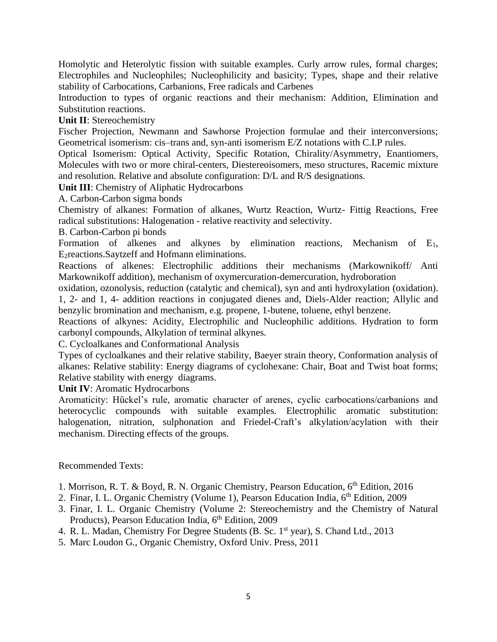Homolytic and Heterolytic fission with suitable examples. Curly arrow rules, formal charges; Electrophiles and Nucleophiles; Nucleophilicity and basicity; Types, shape and their relative stability of Carbocations, Carbanions, Free radicals and Carbenes

Introduction to types of organic reactions and their mechanism: Addition, Elimination and Substitution reactions.

**Unit II**: Stereochemistry

Fischer Projection, Newmann and Sawhorse Projection formulae and their interconversions; Geometrical isomerism: cis–trans and, syn-anti isomerism E/Z notations with C.I.P rules.

Optical Isomerism: Optical Activity, Specific Rotation, Chirality/Asymmetry, Enantiomers, Molecules with two or more chiral-centers, Diestereoisomers, meso structures, Racemic mixture and resolution. Relative and absolute configuration: D/L and R/S designations.

**Unit III**: Chemistry of Aliphatic Hydrocarbons

A. Carbon-Carbon sigma bonds

Chemistry of alkanes: Formation of alkanes, Wurtz Reaction, Wurtz- Fittig Reactions, Free radical substitutions: Halogenation - relative reactivity and selectivity.

B. Carbon-Carbon pi bonds

Formation of alkenes and alkynes by elimination reactions, Mechanism of E1, E2reactions.Saytzeff and Hofmann eliminations.

Reactions of alkenes: Electrophilic additions their mechanisms (Markownikoff/ Anti Markownikoff addition), mechanism of oxymercuration-demercuration, hydroboration

oxidation, ozonolysis, reduction (catalytic and chemical), syn and anti hydroxylation (oxidation).

1, 2- and 1, 4- addition reactions in conjugated dienes and, Diels-Alder reaction; Allylic and benzylic bromination and mechanism, e.g. propene, 1-butene, toluene, ethyl benzene.

Reactions of alkynes: Acidity, Electrophilic and Nucleophilic additions. Hydration to form carbonyl compounds, Alkylation of terminal alkynes.

C. Cycloalkanes and Conformational Analysis

Types of cycloalkanes and their relative stability, Baeyer strain theory, Conformation analysis of alkanes: Relative stability: Energy diagrams of cyclohexane: Chair, Boat and Twist boat forms; Relative stability with energy diagrams.

**Unit IV**: Aromatic Hydrocarbons

Aromaticity: Hückel's rule, aromatic character of arenes, cyclic carbocations/carbanions and heterocyclic compounds with suitable examples. Electrophilic aromatic substitution: halogenation, nitration, sulphonation and Friedel-Craft's alkylation/acylation with their mechanism. Directing effects of the groups.

#### Recommended Texts:

- 1. Morrison, R. T. & Boyd, R. N. Organic Chemistry, Pearson Education, 6th Edition, 2016
- 2. Finar, I. L. Organic Chemistry (Volume 1), Pearson Education India, 6<sup>th</sup> Edition, 2009
- 3. Finar, I. L. Organic Chemistry (Volume 2: Stereochemistry and the Chemistry of Natural Products), Pearson Education India, 6<sup>th</sup> Edition, 2009
- 4. R. L. Madan, Chemistry For Degree Students (B. Sc. 1<sup>st</sup> year), S. Chand Ltd., 2013
- 5. Marc Loudon G., Organic Chemistry, Oxford Univ. Press, 2011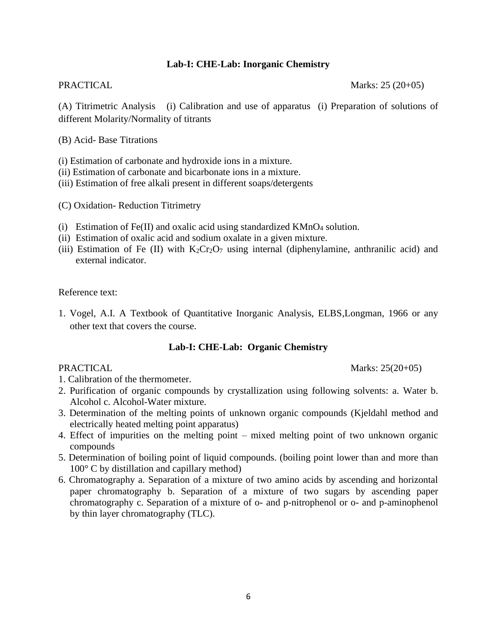#### **Lab-I: CHE-Lab: Inorganic Chemistry**

PRACTICAL Marks: 25 (20+05)

(A) Titrimetric Analysis (i) Calibration and use of apparatus (i) Preparation of solutions of different Molarity/Normality of titrants

(B) Acid- Base Titrations

(i) Estimation of carbonate and hydroxide ions in a mixture.

(ii) Estimation of carbonate and bicarbonate ions in a mixture.

(iii) Estimation of free alkali present in different soaps/detergents

(C) Oxidation- Reduction Titrimetry

- (i) Estimation of Fe(II) and oxalic acid using standardized  $KMnO<sub>4</sub>$  solution.
- (ii) Estimation of oxalic acid and sodium oxalate in a given mixture.
- (iii) Estimation of Fe (II) with  $K_2Cr_2O_7$  using internal (diphenylamine, anthranilic acid) and external indicator.

Reference text:

1. Vogel, A.I. A Textbook of Quantitative Inorganic Analysis, ELBS,Longman, 1966 or any other text that covers the course.

#### **Lab-I: CHE-Lab: Organic Chemistry**

PRACTICAL Marks: 25(20+05)

- 1. Calibration of the thermometer.
- 2. Purification of organic compounds by crystallization using following solvents: a. Water b. Alcohol c. Alcohol-Water mixture.
- 3. Determination of the melting points of unknown organic compounds (Kjeldahl method and electrically heated melting point apparatus)
- 4. Effect of impurities on the melting point mixed melting point of two unknown organic compounds
- 5. Determination of boiling point of liquid compounds. (boiling point lower than and more than 100° C by distillation and capillary method)
- 6. Chromatography a. Separation of a mixture of two amino acids by ascending and horizontal paper chromatography b. Separation of a mixture of two sugars by ascending paper chromatography c. Separation of a mixture of o- and p-nitrophenol or o- and p-aminophenol by thin layer chromatography (TLC).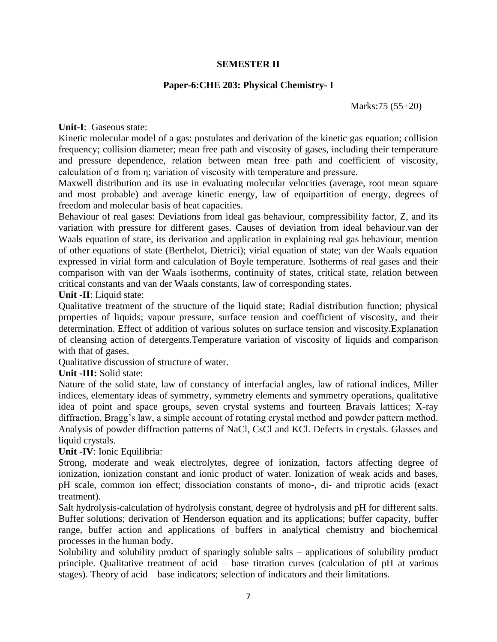#### **SEMESTER II**

#### **Paper-6:CHE 203: Physical Chemistry- I**

Marks:75 (55+20)

**Unit-I**: Gaseous state:

Kinetic molecular model of a gas: postulates and derivation of the kinetic gas equation; collision frequency; collision diameter; mean free path and viscosity of gases, including their temperature and pressure dependence, relation between mean free path and coefficient of viscosity, calculation of σ from η; variation of viscosity with temperature and pressure.

Maxwell distribution and its use in evaluating molecular velocities (average, root mean square and most probable) and average kinetic energy, law of equipartition of energy, degrees of freedom and molecular basis of heat capacities.

Behaviour of real gases: Deviations from ideal gas behaviour, compressibility factor, Z, and its variation with pressure for different gases. Causes of deviation from ideal behaviour.van der Waals equation of state, its derivation and application in explaining real gas behaviour, mention of other equations of state (Berthelot, Dietrici); virial equation of state; van der Waals equation expressed in virial form and calculation of Boyle temperature. Isotherms of real gases and their comparison with van der Waals isotherms, continuity of states, critical state, relation between critical constants and van der Waals constants, law of corresponding states.

#### **Unit -II**: Liquid state:

Qualitative treatment of the structure of the liquid state; Radial distribution function; physical properties of liquids; vapour pressure, surface tension and coefficient of viscosity, and their determination. Effect of addition of various solutes on surface tension and viscosity.Explanation of cleansing action of detergents.Temperature variation of viscosity of liquids and comparison with that of gases.

Qualitative discussion of structure of water.

#### **Unit -III:** Solid state:

Nature of the solid state, law of constancy of interfacial angles, law of rational indices, Miller indices, elementary ideas of symmetry, symmetry elements and symmetry operations, qualitative idea of point and space groups, seven crystal systems and fourteen Bravais lattices; X-ray diffraction, Bragg's law, a simple account of rotating crystal method and powder pattern method. Analysis of powder diffraction patterns of NaCl, CsCl and KCl. Defects in crystals. Glasses and liquid crystals.

**Unit -IV**: Ionic Equilibria:

Strong, moderate and weak electrolytes, degree of ionization, factors affecting degree of ionization, ionization constant and ionic product of water. Ionization of weak acids and bases, pH scale, common ion effect; dissociation constants of mono-, di- and triprotic acids (exact treatment).

Salt hydrolysis-calculation of hydrolysis constant, degree of hydrolysis and pH for different salts. Buffer solutions; derivation of Henderson equation and its applications; buffer capacity, buffer range, buffer action and applications of buffers in analytical chemistry and biochemical processes in the human body.

Solubility and solubility product of sparingly soluble salts – applications of solubility product principle. Qualitative treatment of acid – base titration curves (calculation of pH at various stages). Theory of acid – base indicators; selection of indicators and their limitations.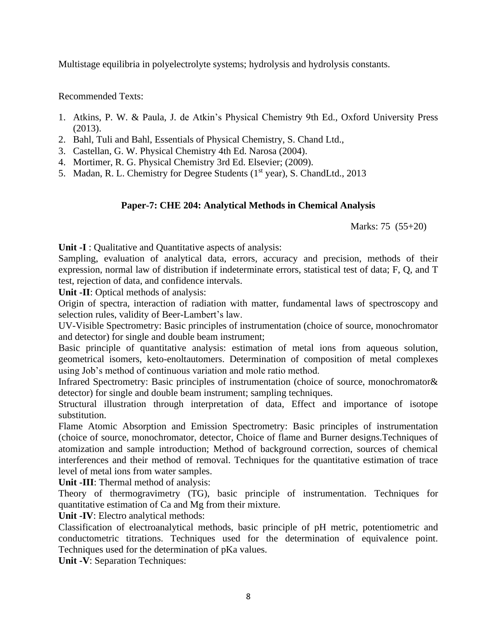Multistage equilibria in polyelectrolyte systems; hydrolysis and hydrolysis constants.

Recommended Texts:

- 1. Atkins, P. W. & Paula, J. de Atkin's Physical Chemistry 9th Ed., Oxford University Press (2013).
- 2. Bahl, Tuli and Bahl, Essentials of Physical Chemistry, S. Chand Ltd.,
- 3. Castellan, G. W. Physical Chemistry 4th Ed. Narosa (2004).
- 4. Mortimer, R. G. Physical Chemistry 3rd Ed. Elsevier; (2009).
- 5. Madan, R. L. Chemistry for Degree Students (1<sup>st</sup> year), S. ChandLtd., 2013

### **Paper-7: CHE 204: Analytical Methods in Chemical Analysis**

Marks: 75 (55+20)

**Unit -I** : Qualitative and Quantitative aspects of analysis:

Sampling, evaluation of analytical data, errors, accuracy and precision, methods of their expression, normal law of distribution if indeterminate errors, statistical test of data; F, Q, and T test, rejection of data, and confidence intervals.

**Unit -II**: Optical methods of analysis:

Origin of spectra, interaction of radiation with matter, fundamental laws of spectroscopy and selection rules, validity of Beer-Lambert's law.

UV-Visible Spectrometry: Basic principles of instrumentation (choice of source, monochromator and detector) for single and double beam instrument;

Basic principle of quantitative analysis: estimation of metal ions from aqueous solution, geometrical isomers, keto-enoltautomers. Determination of composition of metal complexes using Job's method of continuous variation and mole ratio method.

Infrared Spectrometry: Basic principles of instrumentation (choice of source, monochromator& detector) for single and double beam instrument; sampling techniques.

Structural illustration through interpretation of data, Effect and importance of isotope substitution.

Flame Atomic Absorption and Emission Spectrometry: Basic principles of instrumentation (choice of source, monochromator, detector, Choice of flame and Burner designs.Techniques of atomization and sample introduction; Method of background correction, sources of chemical interferences and their method of removal. Techniques for the quantitative estimation of trace level of metal ions from water samples.

**Unit -III**: Thermal method of analysis:

Theory of thermogravimetry (TG), basic principle of instrumentation. Techniques for quantitative estimation of Ca and Mg from their mixture.

**Unit -IV**: Electro analytical methods:

Classification of electroanalytical methods, basic principle of pH metric, potentiometric and conductometric titrations. Techniques used for the determination of equivalence point. Techniques used for the determination of pKa values.

**Unit -V**: Separation Techniques: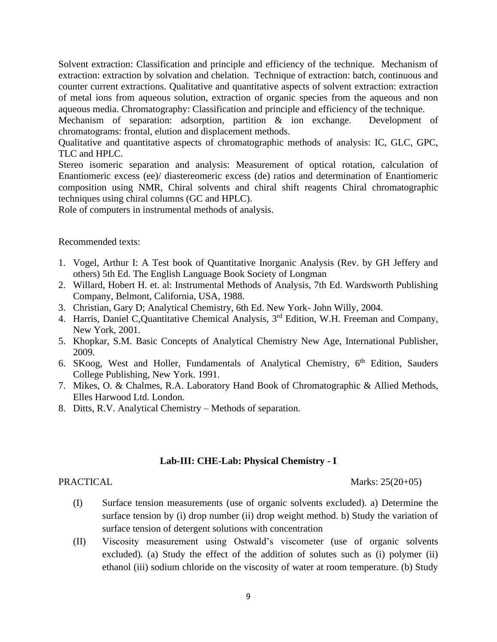Solvent extraction: Classification and principle and efficiency of the technique. Mechanism of extraction: extraction by solvation and chelation. Technique of extraction: batch, continuous and counter current extractions. Qualitative and quantitative aspects of solvent extraction: extraction of metal ions from aqueous solution, extraction of organic species from the aqueous and non aqueous media. Chromatography: Classification and principle and efficiency of the technique.

Mechanism of separation: adsorption, partition & ion exchange. Development of chromatograms: frontal, elution and displacement methods.

Qualitative and quantitative aspects of chromatographic methods of analysis: IC, GLC, GPC, TLC and HPLC.

Stereo isomeric separation and analysis: Measurement of optical rotation, calculation of Enantiomeric excess (ee)/ diastereomeric excess (de) ratios and determination of Enantiomeric composition using NMR, Chiral solvents and chiral shift reagents Chiral chromatographic techniques using chiral columns (GC and HPLC).

Role of computers in instrumental methods of analysis.

#### Recommended texts:

- 1. Vogel, Arthur I: A Test book of Quantitative Inorganic Analysis (Rev. by GH Jeffery and others) 5th Ed. The English Language Book Society of Longman
- 2. Willard, Hobert H. et. al: Instrumental Methods of Analysis, 7th Ed. Wardsworth Publishing Company, Belmont, California, USA, 1988.
- 3. Christian, Gary D; Analytical Chemistry, 6th Ed. New York- John Willy, 2004.
- 4. Harris, Daniel C, Quantitative Chemical Analysis, 3<sup>rd</sup> Edition, W.H. Freeman and Company, New York, 2001.
- 5. Khopkar, S.M. Basic Concepts of Analytical Chemistry New Age, International Publisher, 2009.
- 6. SKoog, West and Holler, Fundamentals of Analytical Chemistry, 6<sup>th</sup> Edition, Sauders College Publishing, New York. 1991.
- 7. Mikes, O. & Chalmes, R.A. Laboratory Hand Book of Chromatographic & Allied Methods, Elles Harwood Ltd. London.
- 8. Ditts, R.V. Analytical Chemistry Methods of separation.

#### **Lab-III: CHE-Lab: Physical Chemistry - I**

PRACTICAL Marks: 25(20+05)

- (I) Surface tension measurements (use of organic solvents excluded). a) Determine the surface tension by (i) drop number (ii) drop weight method. b) Study the variation of surface tension of detergent solutions with concentration
- (II) Viscosity measurement using Ostwald's viscometer (use of organic solvents excluded). (a) Study the effect of the addition of solutes such as (i) polymer (ii) ethanol (iii) sodium chloride on the viscosity of water at room temperature. (b) Study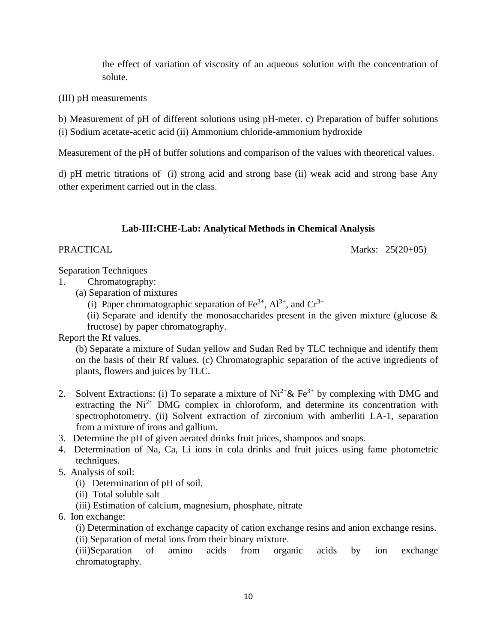the effect of variation of viscosity of an aqueous solution with the concentration of solute.

(III) pH measurements

b) Measurement of pH of different solutions using pH-meter. c) Preparation of buffer solutions

(i) Sodium acetate-acetic acid (ii) Ammonium chloride-ammonium hydroxide

Measurement of the pH of buffer solutions and comparison of the values with theoretical values.

d) pH metric titrations of (i) strong acid and strong base (ii) weak acid and strong base Any other experiment carried out in the class.

# **Lab-III:CHE-Lab: Analytical Methods in Chemical Analysis**

PRACTICAL Marks: 25(20+05)

Separation Techniques

- 1. Chromatography:
	- (a) Separation of mixtures

(i) Paper chromatographic separation of  $Fe^{3+}$ ,  $Al^{3+}$ , and  $Cr^{3+}$ 

(ii) Separate and identify the monosaccharides present in the given mixture (glucose  $\&$ fructose) by paper chromatography.

Report the Rf values.

(b) Separate a mixture of Sudan yellow and Sudan Red by TLC technique and identify them on the basis of their Rf values. (c) Chromatographic separation of the active ingredients of plants, flowers and juices by TLC.

- 2. Solvent Extractions: (i) To separate a mixture of  $Ni^{2+} \& Fe^{3+}$  by complexing with DMG and extracting the  $Ni<sup>2+</sup> DMG$  complex in chloroform, and determine its concentration with spectrophotometry. (ii) Solvent extraction of zirconium with amberliti LA-1, separation from a mixture of irons and gallium.
- 3. Determine the pH of given aerated drinks fruit juices, shampoos and soaps.
- 4. Determination of Na, Ca, Li ions in cola drinks and fruit juices using fame photometric techniques.
- 5. Analysis of soil:
	- (i) Determination of pH of soil.
	- (ii) Total soluble salt
	- (iii) Estimation of calcium, magnesium, phosphate, nitrate
- 6. Ion exchange:

(i) Determination of exchange capacity of cation exchange resins and anion exchange resins.

(ii) Separation of metal ions from their binary mixture.

(iii)Separation of amino acids from organic acids by ion exchange chromatography.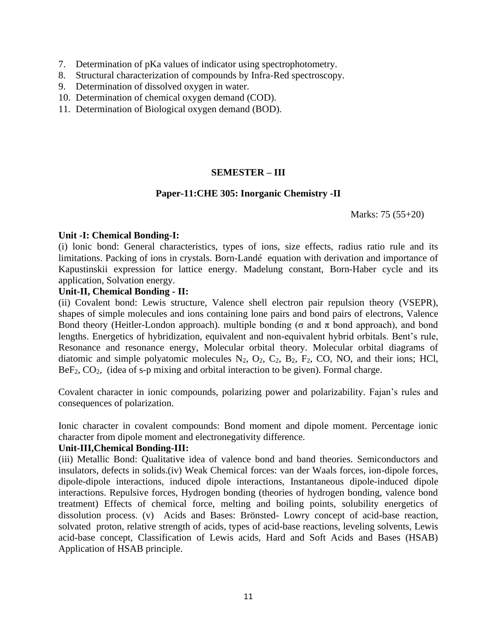- 7. Determination of pKa values of indicator using spectrophotometry.
- 8. Structural characterization of compounds by Infra-Red spectroscopy.
- 9. Determination of dissolved oxygen in water.
- 10. Determination of chemical oxygen demand (COD).
- 11. Determination of Biological oxygen demand (BOD).

#### **SEMESTER – III**

#### **Paper-11:CHE 305: Inorganic Chemistry -II**

Marks: 75 (55+20)

#### **Unit -I: Chemical Bonding-I:**

(i) lonic bond: General characteristics, types of ions, size effects, radius ratio rule and its limitations. Packing of ions in crystals. Born-Landé equation with derivation and importance of Kapustinskii expression for lattice energy. Madelung constant, Born-Haber cycle and its application, Solvation energy.

#### **Unit-II, Chemical Bonding - II:**

(ii) Covalent bond: Lewis structure, Valence shell electron pair repulsion theory (VSEPR), shapes of simple molecules and ions containing lone pairs and bond pairs of electrons, Valence Bond theory (Heitler-London approach). multiple bonding ( $\sigma$  and  $\pi$  bond approach), and bond lengths. Energetics of hybridization, equivalent and non-equivalent hybrid orbitals. Bent's rule, Resonance and resonance energy, Molecular orbital theory. Molecular orbital diagrams of diatomic and simple polyatomic molecules  $N_2$ ,  $O_2$ ,  $C_2$ ,  $B_2$ ,  $F_2$ ,  $CO$ ,  $NO$ , and their ions; HCl,  $BeF_2$ ,  $CO_2$ , (idea of s-p mixing and orbital interaction to be given). Formal charge.

Covalent character in ionic compounds, polarizing power and polarizability. Fajan's rules and consequences of polarization.

Ionic character in covalent compounds: Bond moment and dipole moment. Percentage ionic character from dipole moment and electronegativity difference.

#### **Unit-III,Chemical Bonding-III:**

(iii) Metallic Bond: Qualitative idea of valence bond and band theories. Semiconductors and insulators, defects in solids.(iv) Weak Chemical forces: van der Waals forces, ion-dipole forces, dipole-dipole interactions, induced dipole interactions, Instantaneous dipole-induced dipole interactions. Repulsive forces, Hydrogen bonding (theories of hydrogen bonding, valence bond treatment) Effects of chemical force, melting and boiling points, solubility energetics of dissolution process. (v) Acids and Bases: Brönsted- Lowry concept of acid-base reaction, solvated proton, relative strength of acids, types of acid-base reactions, leveling solvents, Lewis acid-base concept, Classification of Lewis acids, Hard and Soft Acids and Bases (HSAB) Application of HSAB principle.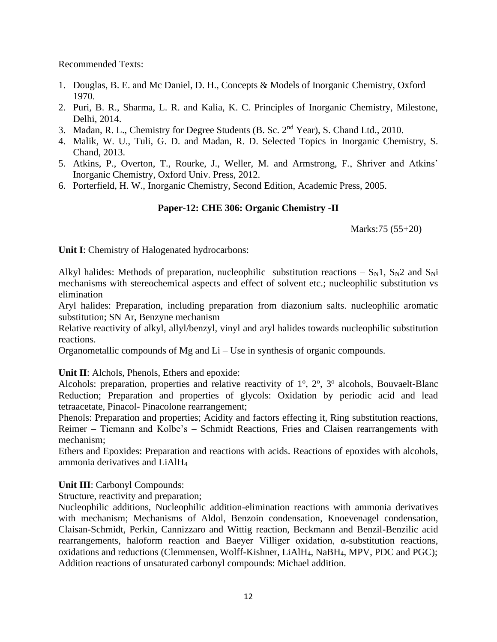Recommended Texts:

- 1. Douglas, B. E. and Mc Daniel, D. H., Concepts & Models of Inorganic Chemistry, Oxford 1970.
- 2. Puri, B. R., Sharma, L. R. and Kalia, K. C. Principles of Inorganic Chemistry, Milestone, Delhi, 2014.
- 3. Madan, R. L., Chemistry for Degree Students (B. Sc. 2nd Year), S. Chand Ltd., 2010.
- 4. Malik, W. U., Tuli, G. D. and Madan, R. D. Selected Topics in Inorganic Chemistry, S. Chand, 2013.
- 5. Atkins, P., Overton, T., Rourke, J., Weller, M. and Armstrong, F., Shriver and Atkins' Inorganic Chemistry, Oxford Univ. Press, 2012.
- 6. Porterfield, H. W., Inorganic Chemistry, Second Edition, Academic Press, 2005.

# **Paper-12: CHE 306: Organic Chemistry -II**

Marks:75 (55+20)

**Unit I**: Chemistry of Halogenated hydrocarbons:

Alkyl halides: Methods of preparation, nucleophilic substitution reactions –  $S_N1$ ,  $S_N2$  and  $S_Ni$ mechanisms with stereochemical aspects and effect of solvent etc.; nucleophilic substitution vs elimination

Aryl halides: Preparation, including preparation from diazonium salts. nucleophilic aromatic substitution; SN Ar, Benzyne mechanism

Relative reactivity of alkyl, allyl/benzyl, vinyl and aryl halides towards nucleophilic substitution reactions.

Organometallic compounds of Mg and Li – Use in synthesis of organic compounds.

**Unit II**: Alchols, Phenols, Ethers and epoxide:

Alcohols: preparation, properties and relative reactivity of  $1^{\circ}$ ,  $2^{\circ}$ ,  $3^{\circ}$  alcohols, Bouvaelt-Blanc Reduction; Preparation and properties of glycols: Oxidation by periodic acid and lead tetraacetate, Pinacol- Pinacolone rearrangement;

Phenols: Preparation and properties; Acidity and factors effecting it, Ring substitution reactions, Reimer – Tiemann and Kolbe's – Schmidt Reactions, Fries and Claisen rearrangements with mechanism;

Ethers and Epoxides: Preparation and reactions with acids. Reactions of epoxides with alcohols, ammonia derivatives and LiAlH<sup>4</sup>

# **Unit III**: Carbonyl Compounds:

Structure, reactivity and preparation;

Nucleophilic additions, Nucleophilic addition-elimination reactions with ammonia derivatives with mechanism; Mechanisms of Aldol, Benzoin condensation, Knoevenagel condensation, Claisan-Schmidt, Perkin, Cannizzaro and Wittig reaction, Beckmann and Benzil-Benzilic acid rearrangements, haloform reaction and Baeyer Villiger oxidation, α-substitution reactions, oxidations and reductions (Clemmensen, Wolff-Kishner, LiAlH4, NaBH4, MPV, PDC and PGC); Addition reactions of unsaturated carbonyl compounds: Michael addition.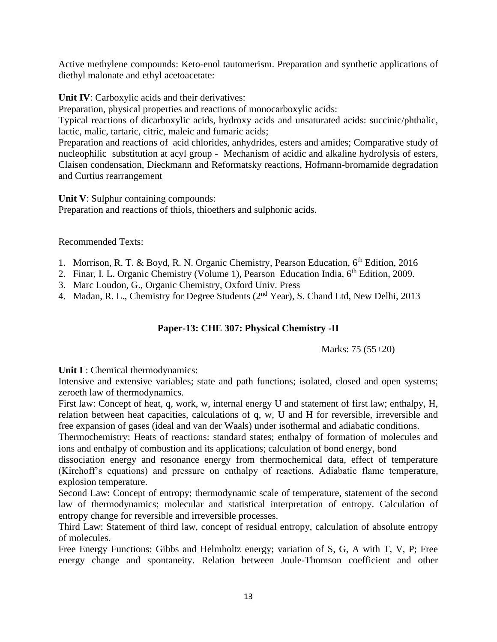Active methylene compounds: Keto-enol tautomerism. Preparation and synthetic applications of diethyl malonate and ethyl acetoacetate:

**Unit IV**: Carboxylic acids and their derivatives:

Preparation, physical properties and reactions of monocarboxylic acids:

Typical reactions of dicarboxylic acids, hydroxy acids and unsaturated acids: succinic/phthalic, lactic, malic, tartaric, citric, maleic and fumaric acids;

Preparation and reactions of acid chlorides, anhydrides, esters and amides; Comparative study of nucleophilic substitution at acyl group - Mechanism of acidic and alkaline hydrolysis of esters, Claisen condensation, Dieckmann and Reformatsky reactions, Hofmann-bromamide degradation and Curtius rearrangement

**Unit V**: Sulphur containing compounds:

Preparation and reactions of thiols, thioethers and sulphonic acids.

Recommended Texts:

- 1. Morrison, R. T. & Boyd, R. N. Organic Chemistry, Pearson Education, 6<sup>th</sup> Edition, 2016
- 2. Finar, I. L. Organic Chemistry (Volume 1), Pearson Education India, 6<sup>th</sup> Edition, 2009.
- 3. Marc Loudon, G., Organic Chemistry, Oxford Univ. Press
- 4. Madan, R. L., Chemistry for Degree Students (2<sup>nd</sup> Year), S. Chand Ltd, New Delhi, 2013

# **Paper-13: CHE 307: Physical Chemistry -II**

Marks: 75 (55+20)

Unit **I** : Chemical thermodynamics:

Intensive and extensive variables; state and path functions; isolated, closed and open systems; zeroeth law of thermodynamics.

First law: Concept of heat, q, work, w, internal energy U and statement of first law; enthalpy, H, relation between heat capacities, calculations of q, w, U and H for reversible, irreversible and free expansion of gases (ideal and van der Waals) under isothermal and adiabatic conditions.

Thermochemistry: Heats of reactions: standard states; enthalpy of formation of molecules and ions and enthalpy of combustion and its applications; calculation of bond energy, bond

dissociation energy and resonance energy from thermochemical data, effect of temperature (Kirchoff's equations) and pressure on enthalpy of reactions. Adiabatic flame temperature, explosion temperature.

Second Law: Concept of entropy; thermodynamic scale of temperature, statement of the second law of thermodynamics; molecular and statistical interpretation of entropy. Calculation of entropy change for reversible and irreversible processes.

Third Law: Statement of third law, concept of residual entropy, calculation of absolute entropy of molecules.

Free Energy Functions: Gibbs and Helmholtz energy; variation of S, G, A with T, V, P; Free energy change and spontaneity. Relation between Joule-Thomson coefficient and other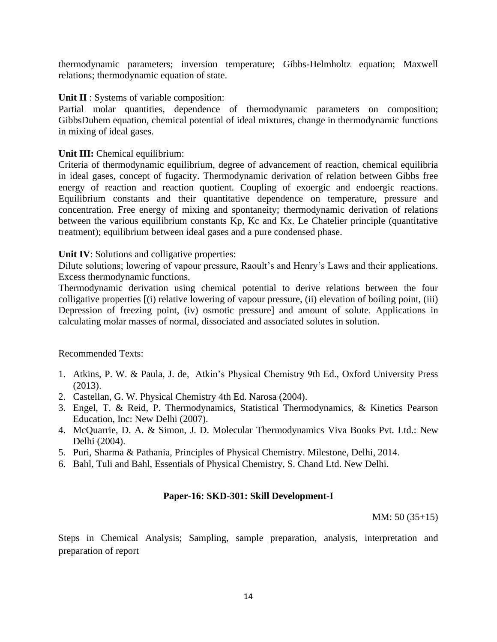thermodynamic parameters; inversion temperature; Gibbs-Helmholtz equation; Maxwell relations; thermodynamic equation of state.

#### **Unit II** : Systems of variable composition:

Partial molar quantities, dependence of thermodynamic parameters on composition; GibbsDuhem equation, chemical potential of ideal mixtures, change in thermodynamic functions in mixing of ideal gases.

### **Unit III:** Chemical equilibrium:

Criteria of thermodynamic equilibrium, degree of advancement of reaction, chemical equilibria in ideal gases, concept of fugacity. Thermodynamic derivation of relation between Gibbs free energy of reaction and reaction quotient. Coupling of exoergic and endoergic reactions. Equilibrium constants and their quantitative dependence on temperature, pressure and concentration. Free energy of mixing and spontaneity; thermodynamic derivation of relations between the various equilibrium constants Kp, Kc and Kx. Le Chatelier principle (quantitative treatment); equilibrium between ideal gases and a pure condensed phase.

### **Unit IV:** Solutions and colligative properties:

Dilute solutions; lowering of vapour pressure, Raoult's and Henry's Laws and their applications. Excess thermodynamic functions.

Thermodynamic derivation using chemical potential to derive relations between the four colligative properties [(i) relative lowering of vapour pressure, (ii) elevation of boiling point, (iii) Depression of freezing point, (iv) osmotic pressure] and amount of solute. Applications in calculating molar masses of normal, dissociated and associated solutes in solution.

# Recommended Texts:

- 1. Atkins, P. W. & Paula, J. de, Atkin's Physical Chemistry 9th Ed., Oxford University Press (2013).
- 2. Castellan, G. W. Physical Chemistry 4th Ed. Narosa (2004).
- 3. Engel, T. & Reid, P. Thermodynamics, Statistical Thermodynamics, & Kinetics Pearson Education, Inc: New Delhi (2007).
- 4. McQuarrie, D. A. & Simon, J. D. Molecular Thermodynamics Viva Books Pvt. Ltd.: New Delhi (2004).
- 5. Puri, Sharma & Pathania, Principles of Physical Chemistry. Milestone, Delhi, 2014.
- 6. Bahl, Tuli and Bahl, Essentials of Physical Chemistry, S. Chand Ltd. New Delhi.

# **Paper-16: SKD-301: Skill Development-I**

MM: 50 (35+15)

Steps in Chemical Analysis; Sampling, sample preparation, analysis, interpretation and preparation of report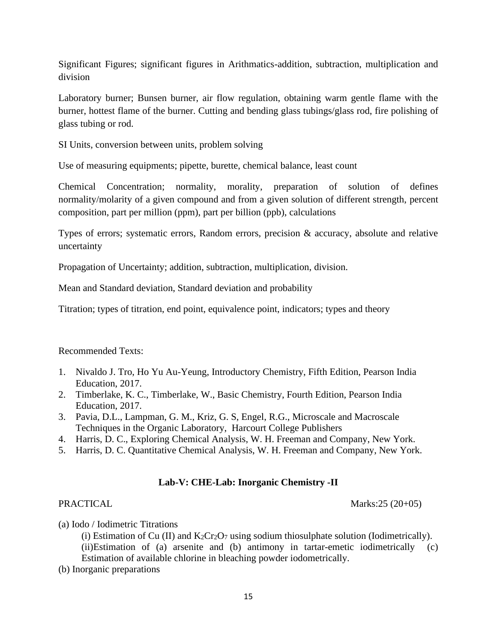Significant Figures; significant figures in Arithmatics-addition, subtraction, multiplication and division

Laboratory burner; Bunsen burner, air flow regulation, obtaining warm gentle flame with the burner, hottest flame of the burner. Cutting and bending glass tubings/glass rod, fire polishing of glass tubing or rod.

SI Units, conversion between units, problem solving

Use of measuring equipments; pipette, burette, chemical balance, least count

Chemical Concentration; normality, morality, preparation of solution of defines normality/molarity of a given compound and from a given solution of different strength, percent composition, part per million (ppm), part per billion (ppb), calculations

Types of errors; systematic errors, Random errors, precision & accuracy, absolute and relative uncertainty

Propagation of Uncertainty; addition, subtraction, multiplication, division.

Mean and Standard deviation, Standard deviation and probability

Titration; types of titration, end point, equivalence point, indicators; types and theory

#### Recommended Texts:

- 1. Nivaldo J. Tro, Ho Yu Au-Yeung, Introductory Chemistry, Fifth Edition, Pearson India Education, 2017.
- 2. Timberlake, K. C., Timberlake, W., Basic Chemistry, Fourth Edition, Pearson India Education, 2017.
- 3. Pavia, D.L., Lampman, G. M., Kriz, G. S, Engel, R.G., Microscale and Macroscale Techniques in the Organic Laboratory, Harcourt College Publishers
- 4. Harris, D. C., Exploring Chemical Analysis, W. H. Freeman and Company, New York.
- 5. Harris, D. C. Quantitative Chemical Analysis, W. H. Freeman and Company, New York.

# **Lab-V: CHE-Lab: Inorganic Chemistry -II**

PRACTICAL Marks:25 (20+05)

(a) Iodo / Iodimetric Titrations

(i) Estimation of Cu (II) and  $K_2Cr_2O_7$  using sodium thiosulphate solution (Iodimetrically).

(ii)Estimation of (a) arsenite and (b) antimony in tartar-emetic iodimetrically (c) Estimation of available chlorine in bleaching powder iodometrically.

(b) Inorganic preparations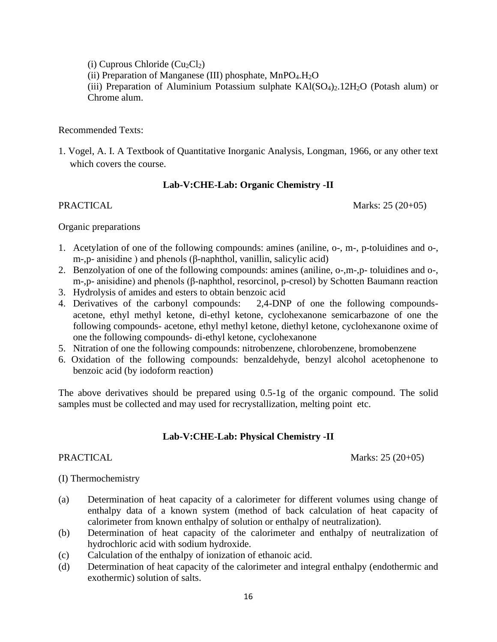(i) Cuprous Chloride  $(Cu_2Cl_2)$ 

(ii) Preparation of Manganese (III) phosphate,  $MnPO<sub>4</sub>H<sub>2</sub>O$ 

(iii) Preparation of Aluminium Potassium sulphate  $KAI(SO<sub>4</sub>)<sub>2</sub>$ . 12H<sub>2</sub>O (Potash alum) or Chrome alum.

#### Recommended Texts:

1. Vogel, A. I. A Textbook of Quantitative Inorganic Analysis, Longman, 1966, or any other text which covers the course.

# **Lab-V:CHE-Lab: Organic Chemistry -II**

PRACTICAL Marks: 25 (20+05)

#### Organic preparations

- 1. Acetylation of one of the following compounds: amines (aniline, o-, m-, p-toluidines and o-, m-,p- anisidine ) and phenols (β-naphthol, vanillin, salicylic acid)
- 2. Benzolyation of one of the following compounds: amines (aniline, o-,m-,p- toluidines and o-, m-,p- anisidine) and phenols (β-naphthol, resorcinol, p-cresol) by Schotten Baumann reaction
- 3. Hydrolysis of amides and esters to obtain benzoic acid
- 4. Derivatives of the carbonyl compounds: 2,4-DNP of one the following compoundsacetone, ethyl methyl ketone, di-ethyl ketone, cyclohexanone semicarbazone of one the following compounds- acetone, ethyl methyl ketone, diethyl ketone, cyclohexanone oxime of one the following compounds- di-ethyl ketone, cyclohexanone
- 5. Nitration of one the following compounds: nitrobenzene, chlorobenzene, bromobenzene
- 6. Oxidation of the following compounds: benzaldehyde, benzyl alcohol acetophenone to benzoic acid (by iodoform reaction)

The above derivatives should be prepared using 0.5-1g of the organic compound. The solid samples must be collected and may used for recrystallization, melting point etc.

# **Lab-V:CHE-Lab: Physical Chemistry -II**

PRACTICAL Marks: 25 (20+05)

# (I) Thermochemistry

- (a) Determination of heat capacity of a calorimeter for different volumes using change of enthalpy data of a known system (method of back calculation of heat capacity of calorimeter from known enthalpy of solution or enthalpy of neutralization).
- (b) Determination of heat capacity of the calorimeter and enthalpy of neutralization of hydrochloric acid with sodium hydroxide.
- (c) Calculation of the enthalpy of ionization of ethanoic acid.
- (d) Determination of heat capacity of the calorimeter and integral enthalpy (endothermic and exothermic) solution of salts.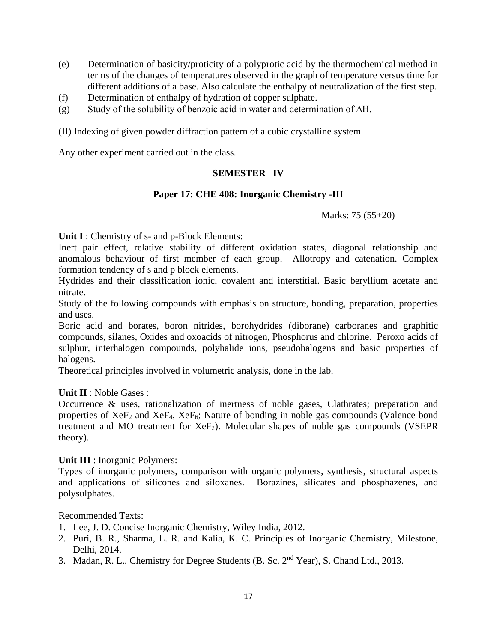- (e) Determination of basicity/proticity of a polyprotic acid by the thermochemical method in terms of the changes of temperatures observed in the graph of temperature versus time for different additions of a base. Also calculate the enthalpy of neutralization of the first step.
- (f) Determination of enthalpy of hydration of copper sulphate.
- (g) Study of the solubility of benzoic acid in water and determination of ∆H.

(II) Indexing of given powder diffraction pattern of a cubic crystalline system.

Any other experiment carried out in the class.

#### **SEMESTER IV**

#### **Paper 17: CHE 408: Inorganic Chemistry -III**

Marks: 75 (55+20)

**Unit I** : Chemistry of s- and p-Block Elements:

Inert pair effect, relative stability of different oxidation states, diagonal relationship and anomalous behaviour of first member of each group. Allotropy and catenation. Complex formation tendency of s and p block elements.

Hydrides and their classification ionic, covalent and interstitial. Basic beryllium acetate and nitrate.

Study of the following compounds with emphasis on structure, bonding, preparation, properties and uses.

Boric acid and borates, boron nitrides, borohydrides (diborane) carboranes and graphitic compounds, silanes, Oxides and oxoacids of nitrogen, Phosphorus and chlorine. Peroxo acids of sulphur, interhalogen compounds, polyhalide ions, pseudohalogens and basic properties of halogens.

Theoretical principles involved in volumetric analysis, done in the lab.

#### **Unit II** : Noble Gases :

Occurrence & uses, rationalization of inertness of noble gases, Clathrates; preparation and properties of XeF<sub>2</sub> and XeF<sub>4</sub>, XeF<sub>6</sub>; Nature of bonding in noble gas compounds (Valence bond treatment and MO treatment for  $XeF_2$ ). Molecular shapes of noble gas compounds (VSEPR theory).

#### **Unit III** : Inorganic Polymers:

Types of inorganic polymers, comparison with organic polymers, synthesis, structural aspects and applications of silicones and siloxanes. Borazines, silicates and phosphazenes, and polysulphates.

#### Recommended Texts:

- 1. Lee, J. D. Concise Inorganic Chemistry, Wiley India, 2012.
- 2. Puri, B. R., Sharma, L. R. and Kalia, K. C. Principles of Inorganic Chemistry, Milestone, Delhi, 2014.
- 3. Madan, R. L., Chemistry for Degree Students (B. Sc. 2nd Year), S. Chand Ltd., 2013.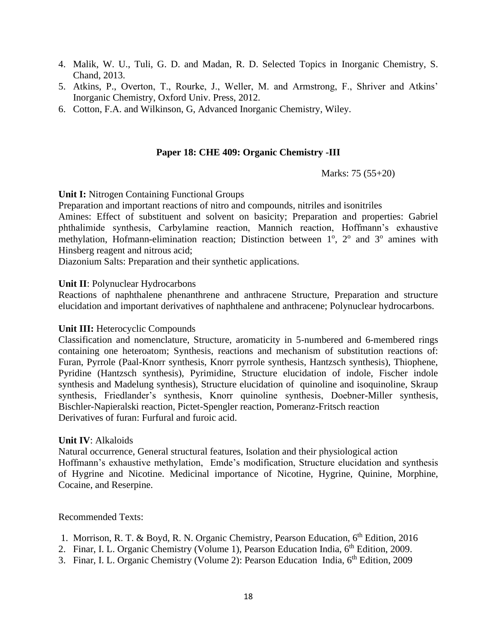- 4. Malik, W. U., Tuli, G. D. and Madan, R. D. Selected Topics in Inorganic Chemistry, S. Chand, 2013.
- 5. Atkins, P., Overton, T., Rourke, J., Weller, M. and Armstrong, F., Shriver and Atkins' Inorganic Chemistry, Oxford Univ. Press, 2012.
- 6. Cotton, F.A. and Wilkinson, G, Advanced Inorganic Chemistry, Wiley.

#### **Paper 18: CHE 409: Organic Chemistry -III**

Marks: 75 (55+20)

#### **Unit I:** Nitrogen Containing Functional Groups

Preparation and important reactions of nitro and compounds, nitriles and isonitriles

Amines: Effect of substituent and solvent on basicity; Preparation and properties: Gabriel phthalimide synthesis, Carbylamine reaction, Mannich reaction, Hoffmann's exhaustive methylation, Hofmann-elimination reaction; Distinction between  $1^\circ$ ,  $2^\circ$  and  $3^\circ$  amines with Hinsberg reagent and nitrous acid;

Diazonium Salts: Preparation and their synthetic applications.

#### **Unit II**: Polynuclear Hydrocarbons

Reactions of naphthalene phenanthrene and anthracene Structure, Preparation and structure elucidation and important derivatives of naphthalene and anthracene; Polynuclear hydrocarbons.

#### **Unit III:** Heterocyclic Compounds

Classification and nomenclature, Structure, aromaticity in 5-numbered and 6-membered rings containing one heteroatom; Synthesis, reactions and mechanism of substitution reactions of: Furan, Pyrrole (Paal-Knorr synthesis, Knorr pyrrole synthesis, Hantzsch synthesis), Thiophene, Pyridine (Hantzsch synthesis), Pyrimidine, Structure elucidation of indole, Fischer indole synthesis and Madelung synthesis), Structure elucidation of quinoline and isoquinoline, Skraup synthesis, Friedlander's synthesis, Knorr quinoline synthesis, Doebner-Miller synthesis, Bischler-Napieralski reaction, Pictet-Spengler reaction, Pomeranz-Fritsch reaction Derivatives of furan: Furfural and furoic acid.

#### **Unit IV**: Alkaloids

Natural occurrence, General structural features, Isolation and their physiological action Hoffmann's exhaustive methylation, Emde's modification, Structure elucidation and synthesis of Hygrine and Nicotine. Medicinal importance of Nicotine, Hygrine, Quinine, Morphine, Cocaine, and Reserpine.

Recommended Texts:

- 1. Morrison, R. T. & Boyd, R. N. Organic Chemistry, Pearson Education, 6th Edition, 2016
- 2. Finar, I. L. Organic Chemistry (Volume 1), Pearson Education India, 6<sup>th</sup> Edition, 2009.
- 3. Finar, I. L. Organic Chemistry (Volume 2): Pearson Education India, 6<sup>th</sup> Edition, 2009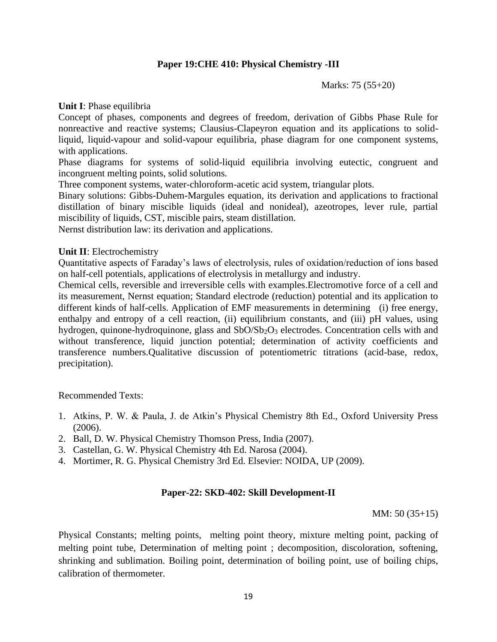#### **Paper 19:CHE 410: Physical Chemistry -III**

Marks: 75 (55+20)

**Unit I**: Phase equilibria

Concept of phases, components and degrees of freedom, derivation of Gibbs Phase Rule for nonreactive and reactive systems; Clausius-Clapeyron equation and its applications to solidliquid, liquid-vapour and solid-vapour equilibria, phase diagram for one component systems, with applications.

Phase diagrams for systems of solid-liquid equilibria involving eutectic, congruent and incongruent melting points, solid solutions.

Three component systems, water-chloroform-acetic acid system, triangular plots.

Binary solutions: Gibbs-Duhem-Margules equation, its derivation and applications to fractional distillation of binary miscible liquids (ideal and nonideal), azeotropes, lever rule, partial miscibility of liquids, CST, miscible pairs, steam distillation.

Nernst distribution law: its derivation and applications.

#### **Unit II**: Electrochemistry

Quantitative aspects of Faraday's laws of electrolysis, rules of oxidation/reduction of ions based on half-cell potentials, applications of electrolysis in metallurgy and industry.

Chemical cells, reversible and irreversible cells with examples.Electromotive force of a cell and its measurement, Nernst equation; Standard electrode (reduction) potential and its application to different kinds of half-cells. Application of EMF measurements in determining (i) free energy, enthalpy and entropy of a cell reaction, (ii) equilibrium constants, and (iii) pH values, using hydrogen, quinone-hydroquinone, glass and SbO/Sb<sub>2</sub>O<sub>3</sub> electrodes. Concentration cells with and without transference, liquid junction potential; determination of activity coefficients and transference numbers.Qualitative discussion of potentiometric titrations (acid-base, redox, precipitation).

Recommended Texts:

- 1. Atkins, P. W. & Paula, J. de Atkin's Physical Chemistry 8th Ed., Oxford University Press (2006).
- 2. Ball, D. W. Physical Chemistry Thomson Press, India (2007).
- 3. Castellan, G. W. Physical Chemistry 4th Ed. Narosa (2004).
- 4. Mortimer, R. G. Physical Chemistry 3rd Ed. Elsevier: NOIDA, UP (2009).

#### **Paper-22: SKD-402: Skill Development-II**

MM: 50 (35+15)

Physical Constants; melting points, melting point theory, mixture melting point, packing of melting point tube, Determination of melting point ; decomposition, discoloration, softening, shrinking and sublimation. Boiling point, determination of boiling point, use of boiling chips, calibration of thermometer.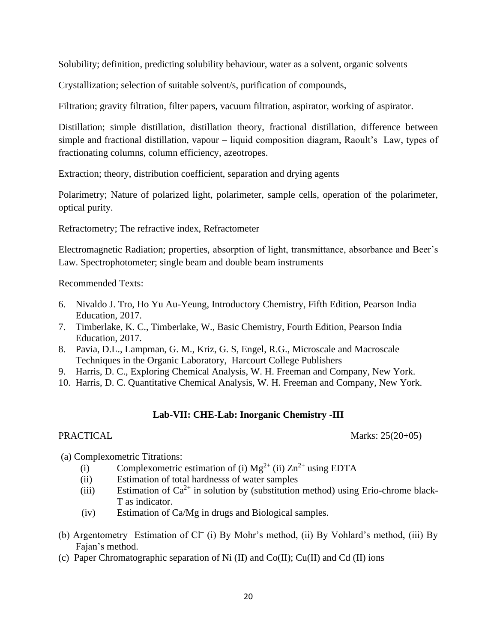Solubility; definition, predicting solubility behaviour, water as a solvent, organic solvents

Crystallization; selection of suitable solvent/s, purification of compounds,

Filtration; gravity filtration, filter papers, vacuum filtration, aspirator, working of aspirator.

Distillation; simple distillation, distillation theory, fractional distillation, difference between simple and fractional distillation, vapour – liquid composition diagram, Raoult's Law, types of fractionating columns, column efficiency, azeotropes.

Extraction; theory, distribution coefficient, separation and drying agents

Polarimetry; Nature of polarized light, polarimeter, sample cells, operation of the polarimeter, optical purity.

Refractometry; The refractive index, Refractometer

Electromagnetic Radiation; properties, absorption of light, transmittance, absorbance and Beer's Law. Spectrophotometer; single beam and double beam instruments

Recommended Texts:

- 6. Nivaldo J. Tro, Ho Yu Au-Yeung, Introductory Chemistry, Fifth Edition, Pearson India Education, 2017.
- 7. Timberlake, K. C., Timberlake, W., Basic Chemistry, Fourth Edition, Pearson India Education, 2017.
- 8. Pavia, D.L., Lampman, G. M., Kriz, G. S, Engel, R.G., Microscale and Macroscale Techniques in the Organic Laboratory, Harcourt College Publishers
- 9. Harris, D. C., Exploring Chemical Analysis, W. H. Freeman and Company, New York.
- 10. Harris, D. C. Quantitative Chemical Analysis, W. H. Freeman and Company, New York.

#### **Lab-VII: CHE-Lab: Inorganic Chemistry -III**

PRACTICAL Marks: 25(20+05)

- (a) Complexometric Titrations:
	- (i) Complexometric estimation of (i)  $Mg^{2+}$  (ii)  $Zn^{2+}$  using EDTA
	- (ii) Estimation of total hardnesss of water samples
	- (iii) Estimation of  $Ca^{2+}$  in solution by (substitution method) using Erio-chrome black-T as indicator.
	- (iv) Estimation of Ca/Mg in drugs and Biological samples.
- (b) Argentometry Estimation of  $Cl^-$  (i) By Mohr's method, (ii) By Vohlard's method, (iii) By Fajan's method.
- (c) Paper Chromatographic separation of Ni (II) and Co(II); Cu(II) and Cd (II) ions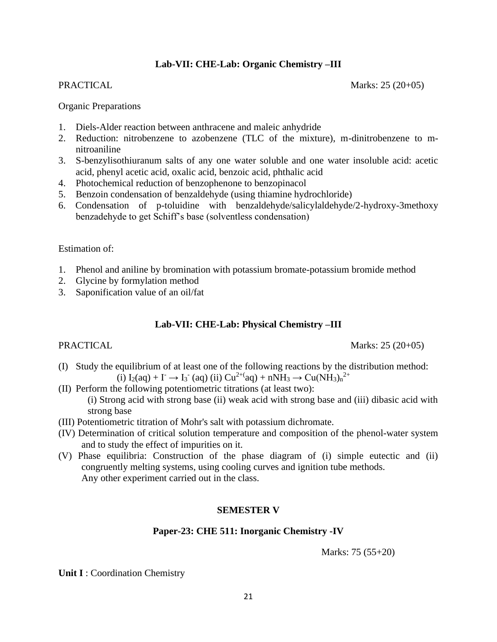# **Lab-VII: CHE-Lab: Organic Chemistry –III**

PRACTICAL Marks: 25 (20+05)

#### Organic Preparations

- 1. Diels-Alder reaction between anthracene and maleic anhydride
- 2. Reduction: nitrobenzene to azobenzene (TLC of the mixture), m-dinitrobenzene to mnitroaniline
- 3. S-benzylisothiuranum salts of any one water soluble and one water insoluble acid: acetic acid, phenyl acetic acid, oxalic acid, benzoic acid, phthalic acid
- 4. Photochemical reduction of benzophenone to benzopinacol
- 5. Benzoin condensation of benzaldehyde (using thiamine hydrochloride)
- 6. Condensation of p-toluidine with benzaldehyde/salicylaldehyde/2-hydroxy-3methoxy benzadehyde to get Schiff's base (solventless condensation)

Estimation of:

- 1. Phenol and aniline by bromination with potassium bromate-potassium bromide method
- 2. Glycine by formylation method
- 3. Saponification value of an oil/fat

# **Lab-VII: CHE-Lab: Physical Chemistry –III**

#### PRACTICAL Marks: 25 (20+05)

(I) Study the equilibrium of at least one of the following reactions by the distribution method: (i)  $I_2(aq) + I \to I_3$  (aq) (ii)  $Cu^{2+(aq)} + nNH_3 \to Cu(NH_3)_n^{2+}$ 

- (II) Perform the following potentiometric titrations (at least two): (i) Strong acid with strong base (ii) weak acid with strong base and (iii) dibasic acid with strong base
- (III) Potentiometric titration of Mohr's salt with potassium dichromate.
- (IV) Determination of critical solution temperature and composition of the phenol-water system and to study the effect of impurities on it.
- (V) Phase equilibria: Construction of the phase diagram of (i) simple eutectic and (ii) congruently melting systems, using cooling curves and ignition tube methods. Any other experiment carried out in the class.

#### **SEMESTER V**

#### **Paper-23: CHE 511: Inorganic Chemistry -IV**

Marks: 75 (55+20)

**Unit I** : Coordination Chemistry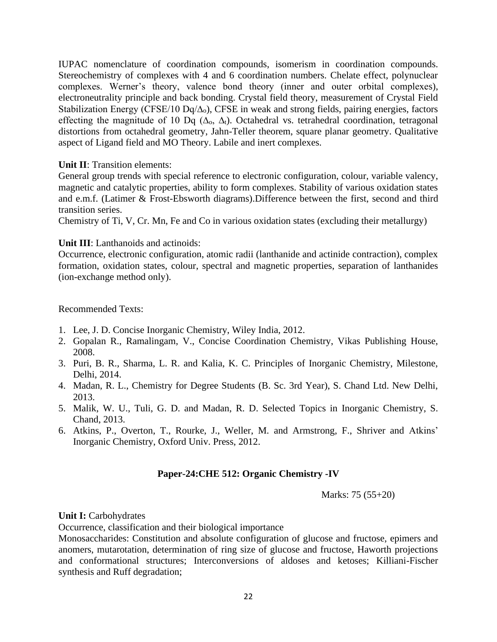IUPAC nomenclature of coordination compounds, isomerism in coordination compounds. Stereochemistry of complexes with 4 and 6 coordination numbers. Chelate effect, polynuclear complexes. Werner's theory, valence bond theory (inner and outer orbital complexes), electroneutrality principle and back bonding. Crystal field theory, measurement of Crystal Field Stabilization Energy (CFSE/10 Dq/ $\Delta_0$ ), CFSE in weak and strong fields, pairing energies, factors effecting the magnitude of 10 Dq ( $\Delta_0$ ,  $\Delta_t$ ). Octahedral vs. tetrahedral coordination, tetragonal distortions from octahedral geometry, Jahn-Teller theorem, square planar geometry. Qualitative aspect of Ligand field and MO Theory. Labile and inert complexes.

### **Unit II**: Transition elements:

General group trends with special reference to electronic configuration, colour, variable valency, magnetic and catalytic properties, ability to form complexes. Stability of various oxidation states and e.m.f. (Latimer & Frost-Ebsworth diagrams).Difference between the first, second and third transition series.

Chemistry of Ti, V, Cr. Mn, Fe and Co in various oxidation states (excluding their metallurgy)

# **Unit III**: Lanthanoids and actinoids:

Occurrence, electronic configuration, atomic radii (lanthanide and actinide contraction), complex formation, oxidation states, colour, spectral and magnetic properties, separation of lanthanides (ion-exchange method only).

Recommended Texts:

- 1. Lee, J. D. Concise Inorganic Chemistry, Wiley India, 2012.
- 2. Gopalan R., Ramalingam, V., Concise Coordination Chemistry, Vikas Publishing House, 2008.
- 3. Puri, B. R., Sharma, L. R. and Kalia, K. C. Principles of Inorganic Chemistry, Milestone, Delhi, 2014.
- 4. Madan, R. L., Chemistry for Degree Students (B. Sc. 3rd Year), S. Chand Ltd. New Delhi, 2013.
- 5. Malik, W. U., Tuli, G. D. and Madan, R. D. Selected Topics in Inorganic Chemistry, S. Chand, 2013.
- 6. Atkins, P., Overton, T., Rourke, J., Weller, M. and Armstrong, F., Shriver and Atkins' Inorganic Chemistry, Oxford Univ. Press, 2012.

# **Paper-24:CHE 512: Organic Chemistry -IV**

Marks: 75 (55+20)

#### **Unit I:** Carbohydrates

Occurrence, classification and their biological importance

Monosaccharides: Constitution and absolute configuration of glucose and fructose, epimers and anomers, mutarotation, determination of ring size of glucose and fructose, Haworth projections and conformational structures; Interconversions of aldoses and ketoses; Killiani-Fischer synthesis and Ruff degradation;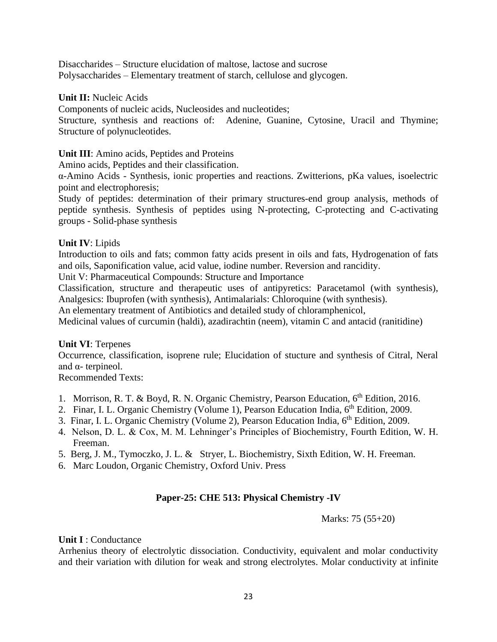Disaccharides – Structure elucidation of maltose, lactose and sucrose Polysaccharides – Elementary treatment of starch, cellulose and glycogen.

#### **Unit II:** Nucleic Acids

Components of nucleic acids, Nucleosides and nucleotides;

Structure, synthesis and reactions of: Adenine, Guanine, Cytosine, Uracil and Thymine; Structure of polynucleotides.

### **Unit III**: Amino acids, Peptides and Proteins

Amino acids, Peptides and their classification.

α-Amino Acids - Synthesis, ionic properties and reactions. Zwitterions, pKa values, isoelectric point and electrophoresis;

Study of peptides: determination of their primary structures-end group analysis, methods of peptide synthesis. Synthesis of peptides using N-protecting, C-protecting and C-activating groups - Solid-phase synthesis

### **Unit IV**: Lipids

Introduction to oils and fats; common fatty acids present in oils and fats, Hydrogenation of fats and oils, Saponification value, acid value, iodine number. Reversion and rancidity.

Unit V: Pharmaceutical Compounds: Structure and Importance

Classification, structure and therapeutic uses of antipyretics: Paracetamol (with synthesis), Analgesics: Ibuprofen (with synthesis), Antimalarials: Chloroquine (with synthesis).

An elementary treatment of Antibiotics and detailed study of chloramphenicol,

Medicinal values of curcumin (haldi), azadirachtin (neem), vitamin C and antacid (ranitidine)

# **Unit VI**: Terpenes

Occurrence, classification, isoprene rule; Elucidation of stucture and synthesis of Citral, Neral and  $\alpha$ - terpineol.

Recommended Texts:

- 1. Morrison, R. T. & Boyd, R. N. Organic Chemistry, Pearson Education, 6<sup>th</sup> Edition, 2016.
- 2. Finar, I. L. Organic Chemistry (Volume 1), Pearson Education India, 6<sup>th</sup> Edition, 2009.
- 3. Finar, I. L. Organic Chemistry (Volume 2), Pearson Education India, 6<sup>th</sup> Edition, 2009.
- 4. Nelson, D. L. & Cox, M. M. Lehninger's Principles of Biochemistry, Fourth Edition, W. H. Freeman.
- 5. Berg, J. M., Tymoczko, J. L. & Stryer, L. Biochemistry, Sixth Edition, W. H. Freeman.
- 6. Marc Loudon, Organic Chemistry, Oxford Univ. Press

# **Paper-25: CHE 513: Physical Chemistry -IV**

Marks: 75 (55+20)

#### **Unit I** : Conductance

Arrhenius theory of electrolytic dissociation. Conductivity, equivalent and molar conductivity and their variation with dilution for weak and strong electrolytes. Molar conductivity at infinite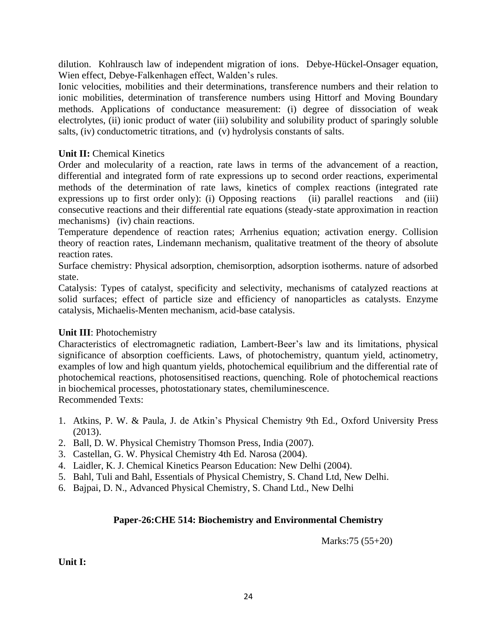dilution. Kohlrausch law of independent migration of ions. Debye-Hückel-Onsager equation, Wien effect, Debye-Falkenhagen effect, Walden's rules.

Ionic velocities, mobilities and their determinations, transference numbers and their relation to ionic mobilities, determination of transference numbers using Hittorf and Moving Boundary methods. Applications of conductance measurement: (i) degree of dissociation of weak electrolytes, (ii) ionic product of water (iii) solubility and solubility product of sparingly soluble salts, (iv) conductometric titrations, and (v) hydrolysis constants of salts.

# **Unit II:** Chemical Kinetics

Order and molecularity of a reaction, rate laws in terms of the advancement of a reaction, differential and integrated form of rate expressions up to second order reactions, experimental methods of the determination of rate laws, kinetics of complex reactions (integrated rate expressions up to first order only): (i) Opposing reactions (ii) parallel reactions and (iii) consecutive reactions and their differential rate equations (steady-state approximation in reaction mechanisms) (iv) chain reactions.

Temperature dependence of reaction rates; Arrhenius equation; activation energy. Collision theory of reaction rates, Lindemann mechanism, qualitative treatment of the theory of absolute reaction rates.

Surface chemistry: Physical adsorption, chemisorption, adsorption isotherms. nature of adsorbed state.

Catalysis: Types of catalyst, specificity and selectivity, mechanisms of catalyzed reactions at solid surfaces; effect of particle size and efficiency of nanoparticles as catalysts. Enzyme catalysis, Michaelis-Menten mechanism, acid-base catalysis.

#### **Unit III**: Photochemistry

Characteristics of electromagnetic radiation, Lambert-Beer's law and its limitations, physical significance of absorption coefficients. Laws, of photochemistry, quantum yield, actinometry, examples of low and high quantum yields, photochemical equilibrium and the differential rate of photochemical reactions, photosensitised reactions, quenching. Role of photochemical reactions in biochemical processes, photostationary states, chemiluminescence. Recommended Texts:

- 1. Atkins, P. W. & Paula, J. de Atkin's Physical Chemistry 9th Ed., Oxford University Press (2013).
- 2. Ball, D. W. Physical Chemistry Thomson Press, India (2007).
- 3. Castellan, G. W. Physical Chemistry 4th Ed. Narosa (2004).
- 4. Laidler, K. J. Chemical Kinetics Pearson Education: New Delhi (2004).
- 5. Bahl, Tuli and Bahl, Essentials of Physical Chemistry, S. Chand Ltd, New Delhi.
- 6. Bajpai, D. N., Advanced Physical Chemistry, S. Chand Ltd., New Delhi

# **Paper-26:CHE 514: Biochemistry and Environmental Chemistry**

Marks:75 (55+20)

**Unit I:**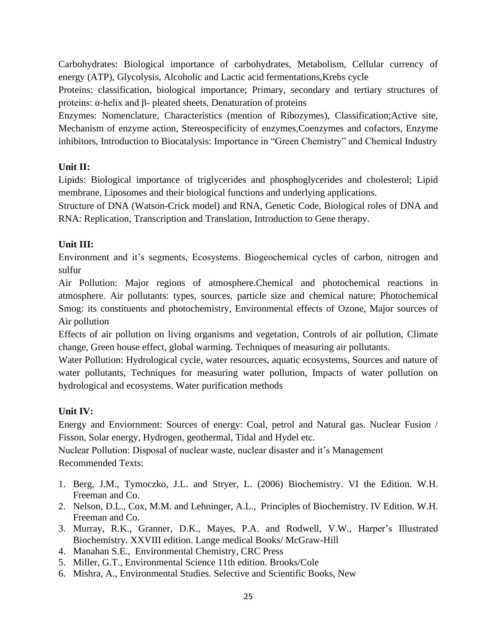Carbohydrates: Biological importance of carbohydrates, Metabolism, Cellular currency of energy (ATP), Glycolysis, Alcoholic and Lactic acid fermentations,Krebs cycle

Proteins: classification, biological importance; Primary, secondary and tertiary structures of proteins: α-helix and β- pleated sheets, Denaturation of proteins

Enzymes: Nomenclature, Characteristics (mention of Ribozymes), Classification;Active site, Mechanism of enzyme action, Stereospecificity of enzymes,Coenzymes and cofactors, Enzyme inhibitors, Introduction to Biocatalysis: Importance in "Green Chemistry" and Chemical Industry

# **Unit II:**

Lipids: Biological importance of triglycerides and phosphoglycerides and cholesterol; Lipid membrane, Liposomes and their biological functions and underlying applications.

Structure of DNA (Watson-Crick model) and RNA, Genetic Code, Biological roles of DNA and RNA: Replication, Transcription and Translation, Introduction to Gene therapy.

# **Unit III:**

Environment and it's segments, Ecosystems. Biogeochemical cycles of carbon, nitrogen and sulfur

Air Pollution: Major regions of atmosphere.Chemical and photochemical reactions in atmosphere. Air pollutants: types, sources, particle size and chemical nature; Photochemical Smog: its constituents and photochemistry, Environmental effects of Ozone, Major sources of Air pollution

Effects of air pollution on living organisms and vegetation, Controls of air pollution, Climate change, Green house effect, global warming. Techniques of measuring air pollutants.

Water Pollution: Hydrological cycle, water resources, aquatic ecosystems, Sources and nature of water pollutants, Techniques for measuring water pollution, Impacts of water pollution on hydrological and ecosystems. Water purification methods

# **Unit IV:**

Energy and Enviornment: Sources of energy: Coal, petrol and Natural gas. Nuclear Fusion / Fisson, Solar energy, Hydrogen, geothermal, Tidal and Hydel etc.

Nuclear Pollution: Disposal of nuclear waste, nuclear disaster and it's Management Recommended Texts:

- 1. Berg, J.M., Tymoczko, J.L. and Stryer, L. (2006) Biochemistry. VI the Edition. W.H. Freeman and Co.
- 2. Nelson, D.L., Cox, M.M. and Lehninger, A.L., Principles of Biochemistry. IV Edition. W.H. Freeman and Co.
- 3. Murray, R.K., Granner, D.K., Mayes, P.A. and Rodwell, V.W., Harper's Illustrated Biochemistry. XXVIII edition. Lange medical Books/ McGraw-Hill
- 4. Manahan S.E., Environmental Chemistry, CRC Press
- 5. Miller, G.T., Environmental Science 11th edition. Brooks/Cole
- 6. Mishra, A., Environmental Studies. Selective and Scientific Books, New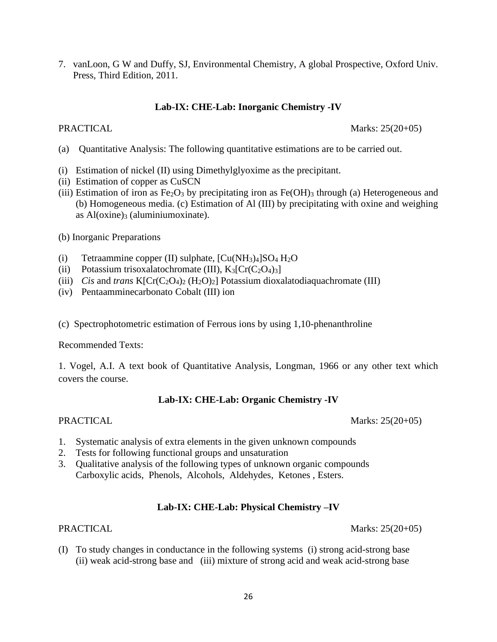7. vanLoon, G W and Duffy, SJ, Environmental Chemistry, A global Prospective, Oxford Univ. Press, Third Edition, 2011.

### **Lab-IX: CHE-Lab: Inorganic Chemistry -IV**

PRACTICAL Marks: 25(20+05)

- (a) Quantitative Analysis: The following quantitative estimations are to be carried out.
- (i) Estimation of nickel (II) using Dimethylglyoxime as the precipitant.
- (ii) Estimation of copper as CuSCN
- (iii) Estimation of iron as  $Fe<sub>2</sub>O<sub>3</sub>$  by precipitating iron as  $Fe(OH)<sub>3</sub>$  through (a) Heterogeneous and (b) Homogeneous media. (c) Estimation of Al (III) by precipitating with oxine and weighing as  $Al(oxine)$ <sub>3</sub> (aluminiumoxinate).
- (b) Inorganic Preparations
- (i) Tetraammine copper (II) sulphate,  $[Cu(NH<sub>3</sub>)<sub>4</sub>]SO<sub>4</sub>H<sub>2</sub>O$
- (ii) Potassium trisoxalatochromate (III),  $K_3[Cr(C_2O_4)_3]$
- (iii) *Cis* and *trans*  $K[Cr(C_2O_4)_2 (H_2O)_2]$  Potassium dioxalatodiaquachromate (III)
- (iv) Pentaamminecarbonato Cobalt (III) ion
- (c) Spectrophotometric estimation of Ferrous ions by using 1,10-phenanthroline

#### Recommended Texts:

1. Vogel, A.I. A text book of Quantitative Analysis, Longman, 1966 or any other text which covers the course.

#### **Lab-IX: CHE-Lab: Organic Chemistry -IV**

PRACTICAL Marks: 25(20+05)

- 1. Systematic analysis of extra elements in the given unknown compounds
- 2. Tests for following functional groups and unsaturation
- 3. Qualitative analysis of the following types of unknown organic compounds Carboxylic acids, Phenols, Alcohols, Aldehydes, Ketones , Esters.

#### **Lab-IX: CHE-Lab: Physical Chemistry –IV**

PRACTICAL Marks: 25(20+05)

(I) To study changes in conductance in the following systems (i) strong acid-strong base (ii) weak acid-strong base and (iii) mixture of strong acid and weak acid-strong base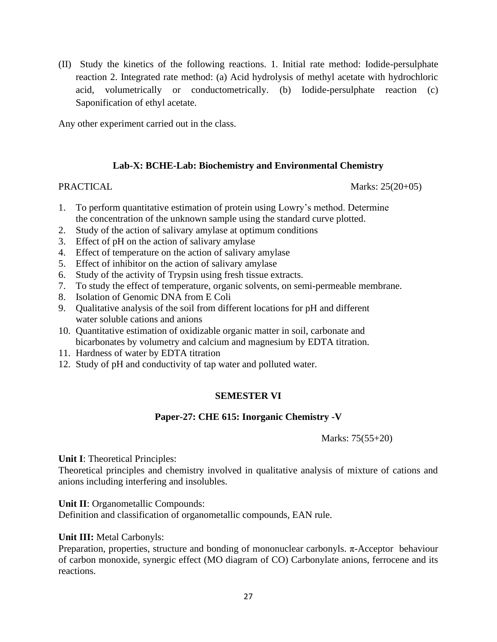(II) Study the kinetics of the following reactions. 1. Initial rate method: Iodide-persulphate reaction 2. Integrated rate method: (a) Acid hydrolysis of methyl acetate with hydrochloric acid, volumetrically or conductometrically. (b) Iodide-persulphate reaction (c) Saponification of ethyl acetate.

Any other experiment carried out in the class.

#### **Lab-X: BCHE-Lab: Biochemistry and Environmental Chemistry**

PRACTICAL Marks: 25(20+05)

- 1. To perform quantitative estimation of protein using Lowry's method. Determine the concentration of the unknown sample using the standard curve plotted.
- 2. Study of the action of salivary amylase at optimum conditions
- 3. Effect of pH on the action of salivary amylase
- 4. Effect of temperature on the action of salivary amylase
- 5. Effect of inhibitor on the action of salivary amylase
- 6. Study of the activity of Trypsin using fresh tissue extracts.
- 7. To study the effect of temperature, organic solvents, on semi-permeable membrane.
- 8. Isolation of Genomic DNA from E Coli
- 9. Qualitative analysis of the soil from different locations for pH and different water soluble cations and anions
- 10. Quantitative estimation of oxidizable organic matter in soil, carbonate and bicarbonates by volumetry and calcium and magnesium by EDTA titration.
- 11. Hardness of water by EDTA titration
- 12. Study of pH and conductivity of tap water and polluted water.

# **SEMESTER VI**

#### **Paper-27: CHE 615: Inorganic Chemistry -V**

Marks: 75(55+20)

**Unit I**: Theoretical Principles:

Theoretical principles and chemistry involved in qualitative analysis of mixture of cations and anions including interfering and insolubles.

**Unit II**: Organometallic Compounds:

Definition and classification of organometallic compounds, EAN rule.

#### **Unit III:** Metal Carbonyls:

Preparation, properties, structure and bonding of mononuclear carbonyls.  $\pi$ -Acceptor behaviour of carbon monoxide, synergic effect (MO diagram of CO) Carbonylate anions, ferrocene and its reactions.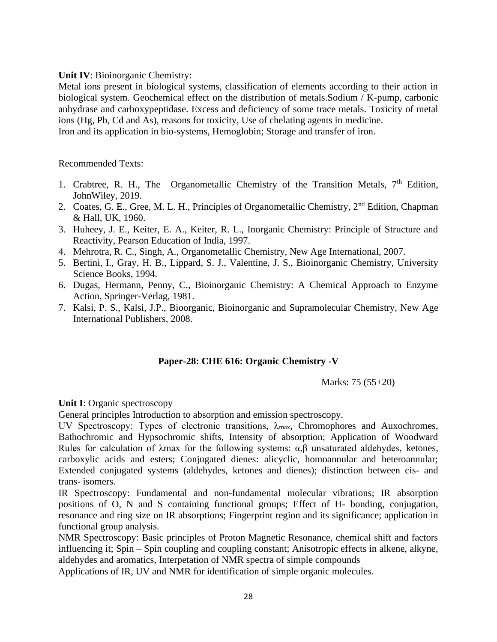#### **Unit IV**: Bioinorganic Chemistry:

Metal ions present in biological systems, classification of elements according to their action in biological system. Geochemical effect on the distribution of metals.Sodium / K-pump, carbonic anhydrase and carboxypeptidase. Excess and deficiency of some trace metals. Toxicity of metal ions (Hg, Pb, Cd and As), reasons for toxicity, Use of chelating agents in medicine. Iron and its application in bio-systems, Hemoglobin; Storage and transfer of iron.

#### Recommended Texts:

- 1. Crabtree, R. H., The Organometallic Chemistry of the Transition Metals,  $7<sup>th</sup>$  Edition, JohnWiley, 2019.
- 2. Coates, G. E., Gree, M. L. H., Principles of Organometallic Chemistry, 2<sup>nd</sup> Edition, Chapman & Hall, UK, 1960.
- 3. Huheey, J. E., Keiter, E. A., Keiter, R. L., Inorganic Chemistry: Principle of Structure and Reactivity, Pearson Education of India, 1997.
- 4. Mehrotra, R. C., Singh, A., Organometallic Chemistry, New Age International, 2007.
- 5. Bertini, I., Gray, H. B., Lippard, S. J., Valentine, J. S., Bioinorganic Chemistry, University Science Books, 1994.
- 6. Dugas, Hermann, Penny, C., Bioinorganic Chemistry: A Chemical Approach to Enzyme Action, Springer-Verlag, 1981.
- 7. Kalsi, P. S., Kalsi, J.P., Bioorganic, Bioinorganic and Supramolecular Chemistry, New Age International Publishers, 2008.

#### **Paper-28: CHE 616: Organic Chemistry -V**

Marks: 75 (55+20)

**Unit I**: Organic spectroscopy

General principles Introduction to absorption and emission spectroscopy.

UV Spectroscopy: Types of electronic transitions,  $\lambda_{\text{max}}$ , Chromophores and Auxochromes, Bathochromic and Hypsochromic shifts, Intensity of absorption; Application of Woodward Rules for calculation of  $λ$ max for the following systems:  $α, β$  unsaturated aldehydes, ketones, carboxylic acids and esters; Conjugated dienes: alicyclic, homoannular and heteroannular; Extended conjugated systems (aldehydes, ketones and dienes); distinction between cis- and trans- isomers.

IR Spectroscopy: Fundamental and non-fundamental molecular vibrations; IR absorption positions of O, N and S containing functional groups; Effect of H- bonding, conjugation, resonance and ring size on IR absorptions; Fingerprint region and its significance; application in functional group analysis.

NMR Spectroscopy: Basic principles of Proton Magnetic Resonance, chemical shift and factors influencing it; Spin – Spin coupling and coupling constant; Anisotropic effects in alkene, alkyne, aldehydes and aromatics, Interpetation of NMR spectra of simple compounds

Applications of IR, UV and NMR for identification of simple organic molecules.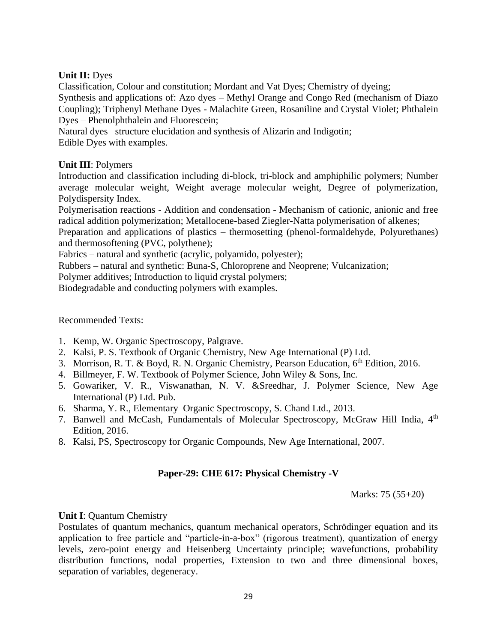# **Unit II:** Dyes

Classification, Colour and constitution; Mordant and Vat Dyes; Chemistry of dyeing;

Synthesis and applications of: Azo dyes – Methyl Orange and Congo Red (mechanism of Diazo Coupling); Triphenyl Methane Dyes - Malachite Green, Rosaniline and Crystal Violet; Phthalein Dyes – Phenolphthalein and Fluorescein;

Natural dyes –structure elucidation and synthesis of Alizarin and Indigotin;

Edible Dyes with examples.

### **Unit III**: Polymers

Introduction and classification including di-block, tri-block and amphiphilic polymers; Number average molecular weight, Weight average molecular weight, Degree of polymerization, Polydispersity Index.

Polymerisation reactions - Addition and condensation - Mechanism of cationic, anionic and free radical addition polymerization; Metallocene-based Ziegler-Natta polymerisation of alkenes;

Preparation and applications of plastics – thermosetting (phenol-formaldehyde, Polyurethanes) and thermosoftening (PVC, polythene);

Fabrics – natural and synthetic (acrylic, polyamido, polyester);

Rubbers – natural and synthetic: Buna-S, Chloroprene and Neoprene; Vulcanization;

Polymer additives; Introduction to liquid crystal polymers;

Biodegradable and conducting polymers with examples.

#### Recommended Texts:

- 1. Kemp, W. Organic Spectroscopy, Palgrave.
- 2. Kalsi, P. S. Textbook of Organic Chemistry, New Age International (P) Ltd.
- 3. Morrison, R. T. & Boyd, R. N. Organic Chemistry, Pearson Education, 6<sup>th</sup> Edition, 2016.
- 4. Billmeyer, F. W. Textbook of Polymer Science, John Wiley & Sons, Inc.
- 5. Gowariker, V. R., Viswanathan, N. V. &Sreedhar, J. Polymer Science, New Age International (P) Ltd. Pub.
- 6. Sharma, Y. R., Elementary Organic Spectroscopy, S. Chand Ltd., 2013.
- 7. Banwell and McCash, Fundamentals of Molecular Spectroscopy, McGraw Hill India, 4<sup>th</sup> Edition, 2016.
- 8. Kalsi, PS, Spectroscopy for Organic Compounds, New Age International, 2007.

# **Paper-29: CHE 617: Physical Chemistry -V**

Marks: 75 (55+20)

#### **Unit I**: Quantum Chemistry

Postulates of quantum mechanics, quantum mechanical operators, Schrödinger equation and its application to free particle and "particle-in-a-box" (rigorous treatment), quantization of energy levels, zero-point energy and Heisenberg Uncertainty principle; wavefunctions, probability distribution functions, nodal properties, Extension to two and three dimensional boxes, separation of variables, degeneracy.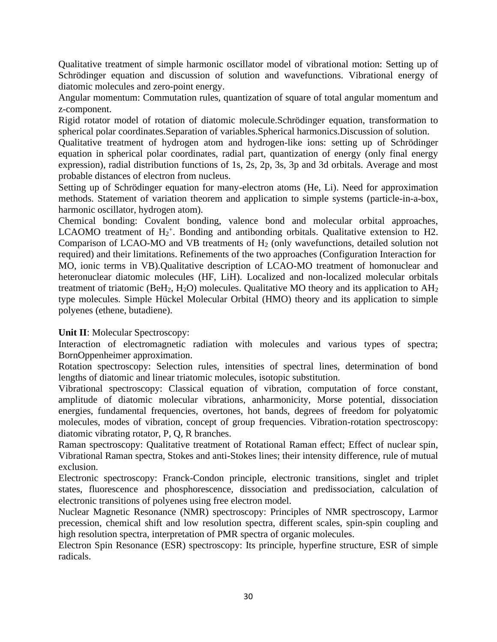Qualitative treatment of simple harmonic oscillator model of vibrational motion: Setting up of Schrödinger equation and discussion of solution and wavefunctions. Vibrational energy of diatomic molecules and zero-point energy.

Angular momentum: Commutation rules, quantization of square of total angular momentum and z-component.

Rigid rotator model of rotation of diatomic molecule.Schrödinger equation, transformation to spherical polar coordinates.Separation of variables.Spherical harmonics.Discussion of solution.

Qualitative treatment of hydrogen atom and hydrogen-like ions: setting up of Schrödinger equation in spherical polar coordinates, radial part, quantization of energy (only final energy expression), radial distribution functions of 1s, 2s, 2p, 3s, 3p and 3d orbitals. Average and most probable distances of electron from nucleus.

Setting up of Schrödinger equation for many-electron atoms (He, Li). Need for approximation methods. Statement of variation theorem and application to simple systems (particle-in-a-box, harmonic oscillator, hydrogen atom).

Chemical bonding: Covalent bonding, valence bond and molecular orbital approaches, LCAOMO treatment of  $H_2^+$ . Bonding and antibonding orbitals. Qualitative extension to H2. Comparison of LCAO-MO and VB treatments of H<sub>2</sub> (only wavefunctions, detailed solution not required) and their limitations. Refinements of the two approaches (Configuration Interaction for MO, ionic terms in VB).Qualitative description of LCAO-MO treatment of homonuclear and heteronuclear diatomic molecules (HF, LiH). Localized and non-localized molecular orbitals treatment of triatomic (BeH<sub>2</sub>, H<sub>2</sub>O) molecules. Qualitative MO theory and its application to  $AH<sub>2</sub>$ type molecules. Simple Hückel Molecular Orbital (HMO) theory and its application to simple polyenes (ethene, butadiene).

#### **Unit II**: Molecular Spectroscopy:

Interaction of electromagnetic radiation with molecules and various types of spectra; BornOppenheimer approximation.

Rotation spectroscopy: Selection rules, intensities of spectral lines, determination of bond lengths of diatomic and linear triatomic molecules, isotopic substitution.

Vibrational spectroscopy: Classical equation of vibration, computation of force constant, amplitude of diatomic molecular vibrations, anharmonicity, Morse potential, dissociation energies, fundamental frequencies, overtones, hot bands, degrees of freedom for polyatomic molecules, modes of vibration, concept of group frequencies. Vibration-rotation spectroscopy: diatomic vibrating rotator, P, Q, R branches.

Raman spectroscopy: Qualitative treatment of Rotational Raman effect; Effect of nuclear spin, Vibrational Raman spectra, Stokes and anti-Stokes lines; their intensity difference, rule of mutual exclusion.

Electronic spectroscopy: Franck-Condon principle, electronic transitions, singlet and triplet states, fluorescence and phosphorescence, dissociation and predissociation, calculation of electronic transitions of polyenes using free electron model.

Nuclear Magnetic Resonance (NMR) spectroscopy: Principles of NMR spectroscopy, Larmor precession, chemical shift and low resolution spectra, different scales, spin-spin coupling and high resolution spectra, interpretation of PMR spectra of organic molecules.

Electron Spin Resonance (ESR) spectroscopy: Its principle, hyperfine structure, ESR of simple radicals.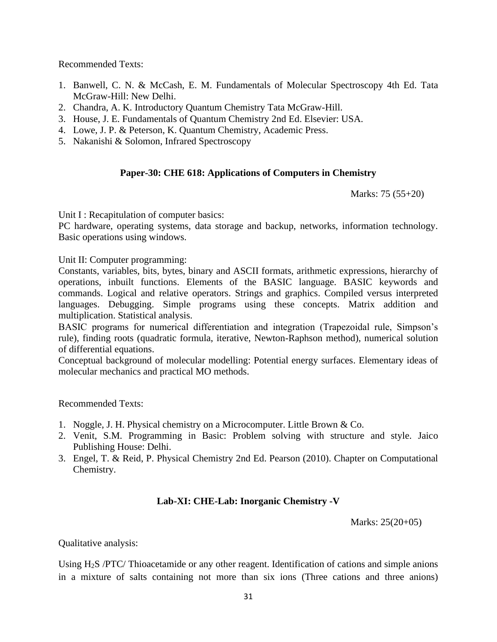Recommended Texts:

- 1. Banwell, C. N. & McCash, E. M. Fundamentals of Molecular Spectroscopy 4th Ed. Tata McGraw-Hill: New Delhi.
- 2. Chandra, A. K. Introductory Quantum Chemistry Tata McGraw-Hill.
- 3. House, J. E. Fundamentals of Quantum Chemistry 2nd Ed. Elsevier: USA.
- 4. Lowe, J. P. & Peterson, K. Quantum Chemistry, Academic Press.
- 5. Nakanishi & Solomon, Infrared Spectroscopy

# **Paper-30: CHE 618: Applications of Computers in Chemistry**

Marks: 75 (55+20)

Unit I : Recapitulation of computer basics:

PC hardware, operating systems, data storage and backup, networks, information technology. Basic operations using windows.

Unit II: Computer programming:

Constants, variables, bits, bytes, binary and ASCII formats, arithmetic expressions, hierarchy of operations, inbuilt functions. Elements of the BASIC language. BASIC keywords and commands. Logical and relative operators. Strings and graphics. Compiled versus interpreted languages. Debugging. Simple programs using these concepts. Matrix addition and multiplication. Statistical analysis.

BASIC programs for numerical differentiation and integration (Trapezoidal rule, Simpson's rule), finding roots (quadratic formula, iterative, Newton-Raphson method), numerical solution of differential equations.

Conceptual background of molecular modelling: Potential energy surfaces. Elementary ideas of molecular mechanics and practical MO methods.

Recommended Texts:

- 1. Noggle, J. H. Physical chemistry on a Microcomputer. Little Brown & Co.
- 2. Venit, S.M. Programming in Basic: Problem solving with structure and style. Jaico Publishing House: Delhi.
- 3. Engel, T. & Reid, P. Physical Chemistry 2nd Ed. Pearson (2010). Chapter on Computational Chemistry.

#### **Lab-XI: CHE-Lab: Inorganic Chemistry -V**

Marks: 25(20+05)

Qualitative analysis:

Using H2S /PTC/ Thioacetamide or any other reagent. Identification of cations and simple anions in a mixture of salts containing not more than six ions (Three cations and three anions)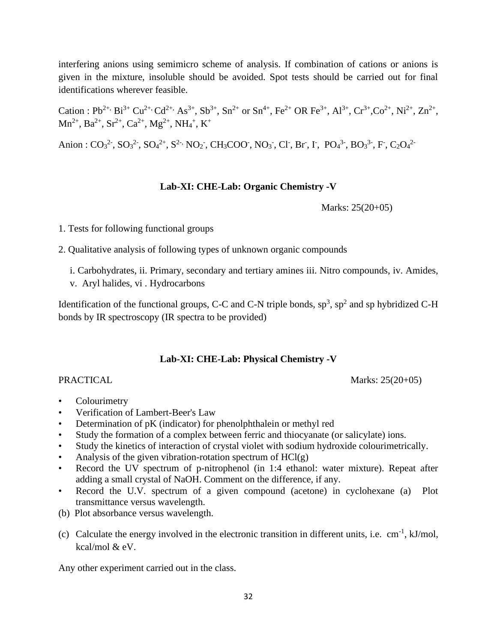interfering anions using semimicro scheme of analysis. If combination of cations or anions is given in the mixture, insoluble should be avoided. Spot tests should be carried out for final identifications wherever feasible.

Cation : Pb2+, Bi3+ Cu2+, Cd2+, As3+, Sb 3+, Sn2+ or Sn4+, Fe2+ OR Fe3+, Al3+, Cr3+,Co2+, Ni2+, Zn2+ , Mn2+, Ba2+, Sr2+, Ca2+, Mg2+, NH<sup>4</sup> + , K<sup>+</sup>

Anion :  $CO_3^2$ ,  $SO_3^2$ ,  $SO_4^2$ <sup>+</sup>,  $S^2$ ,  $NO_2$ ,  $CH_3COO$ ,  $NO_3$ ,  $Cl$ ,  $Br$ ,  $I$ ,  $PO_4^3$ ,  $BO_3^3$ ,  $F$ ,  $C_2O_4^2$ 

### **Lab-XI: CHE-Lab: Organic Chemistry -V**

Marks: 25(20+05)

1. Tests for following functional groups

2. Qualitative analysis of following types of unknown organic compounds

- i. Carbohydrates, ii. Primary, secondary and tertiary amines iii. Nitro compounds, iv. Amides,
- v. Aryl halides, vi . Hydrocarbons

Identification of the functional groups, C-C and C-N triple bonds,  $sp^3$ ,  $sp^2$  and sp hybridized C-H bonds by IR spectroscopy (IR spectra to be provided)

# **Lab-XI: CHE-Lab: Physical Chemistry -V**

PRACTICAL Marks: 25(20+05)

- **Colourimetry**
- Verification of Lambert-Beer's Law
- Determination of pK (indicator) for phenolphthalein or methyl red
- Study the formation of a complex between ferric and thiocyanate (or salicylate) ions.
- Study the kinetics of interaction of crystal violet with sodium hydroxide colourimetrically.
- Analysis of the given vibration-rotation spectrum of  $HCl(g)$
- Record the UV spectrum of p-nitrophenol (in 1:4 ethanol: water mixture). Repeat after adding a small crystal of NaOH. Comment on the difference, if any.
- Record the U.V. spectrum of a given compound (acetone) in cyclohexane (a) Plot transmittance versus wavelength.
- (b) Plot absorbance versus wavelength.
- (c) Calculate the energy involved in the electronic transition in different units, i.e.  $cm^{-1}$ ,  $kJ/mol$ , kcal/mol & eV.

Any other experiment carried out in the class.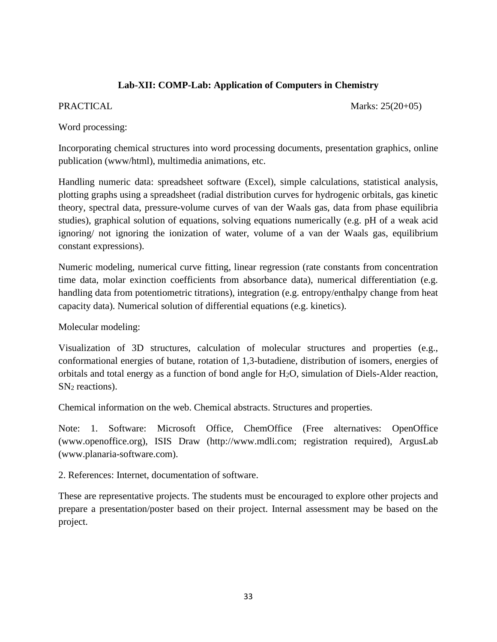## **Lab-XII: COMP-Lab: Application of Computers in Chemistry**

PRACTICAL Marks: 25(20+05)

Word processing:

Incorporating chemical structures into word processing documents, presentation graphics, online publication (www/html), multimedia animations, etc.

Handling numeric data: spreadsheet software (Excel), simple calculations, statistical analysis, plotting graphs using a spreadsheet (radial distribution curves for hydrogenic orbitals, gas kinetic theory, spectral data, pressure-volume curves of van der Waals gas, data from phase equilibria studies), graphical solution of equations, solving equations numerically (e.g. pH of a weak acid ignoring/ not ignoring the ionization of water, volume of a van der Waals gas, equilibrium constant expressions).

Numeric modeling, numerical curve fitting, linear regression (rate constants from concentration time data, molar exinction coefficients from absorbance data), numerical differentiation (e.g. handling data from potentiometric titrations), integration (e.g. entropy/enthalpy change from heat capacity data). Numerical solution of differential equations (e.g. kinetics).

Molecular modeling:

Visualization of 3D structures, calculation of molecular structures and properties (e.g., conformational energies of butane, rotation of 1,3-butadiene, distribution of isomers, energies of orbitals and total energy as a function of bond angle for H2O, simulation of Diels-Alder reaction,  $SN<sub>2</sub>$  reactions).

Chemical information on the web. Chemical abstracts. Structures and properties.

Note: 1. Software: Microsoft Office, ChemOffice (Free alternatives: OpenOffice (www.openoffice.org), ISIS Draw (http://www.mdli.com; registration required), ArgusLab (www.planaria-software.com).

2. References: Internet, documentation of software.

These are representative projects. The students must be encouraged to explore other projects and prepare a presentation/poster based on their project. Internal assessment may be based on the project.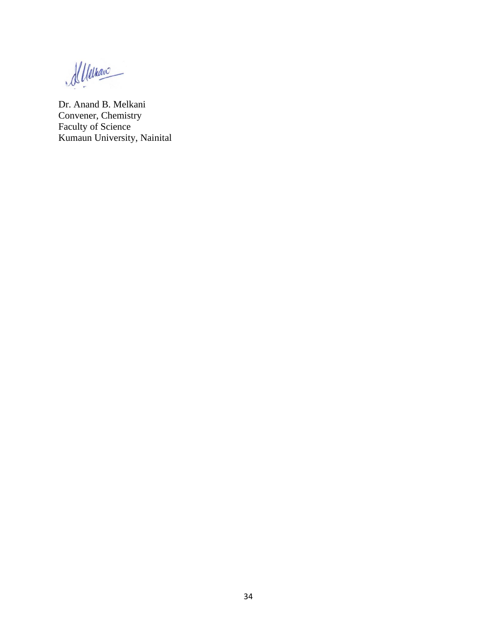Menano

Dr. Anand B. Melkani Convener, Chemistry Faculty of Science Kumaun University, Nainital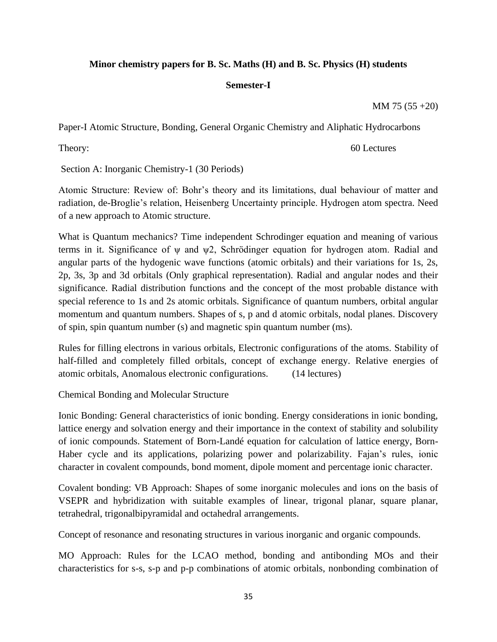## **Minor chemistry papers for B. Sc. Maths (H) and B. Sc. Physics (H) students**

#### **Semester-I**

MM 75 (55 +20)

Paper-I Atomic Structure, Bonding, General Organic Chemistry and Aliphatic Hydrocarbons

Theory: 60 Lectures

Section A: Inorganic Chemistry-1 (30 Periods)

Atomic Structure: Review of: Bohr's theory and its limitations, dual behaviour of matter and radiation, de-Broglie's relation, Heisenberg Uncertainty principle. Hydrogen atom spectra. Need of a new approach to Atomic structure.

What is Quantum mechanics? Time independent Schrodinger equation and meaning of various terms in it. Significance of ψ and ψ2, Schrödinger equation for hydrogen atom. Radial and angular parts of the hydogenic wave functions (atomic orbitals) and their variations for 1s, 2s, 2p, 3s, 3p and 3d orbitals (Only graphical representation). Radial and angular nodes and their significance. Radial distribution functions and the concept of the most probable distance with special reference to 1s and 2s atomic orbitals. Significance of quantum numbers, orbital angular momentum and quantum numbers. Shapes of s, p and d atomic orbitals, nodal planes. Discovery of spin, spin quantum number (s) and magnetic spin quantum number (ms).

Rules for filling electrons in various orbitals, Electronic configurations of the atoms. Stability of half-filled and completely filled orbitals, concept of exchange energy. Relative energies of atomic orbitals, Anomalous electronic configurations. (14 lectures)

Chemical Bonding and Molecular Structure

Ionic Bonding: General characteristics of ionic bonding. Energy considerations in ionic bonding, lattice energy and solvation energy and their importance in the context of stability and solubility of ionic compounds. Statement of Born-Landé equation for calculation of lattice energy, Born-Haber cycle and its applications, polarizing power and polarizability. Fajan's rules, ionic character in covalent compounds, bond moment, dipole moment and percentage ionic character.

Covalent bonding: VB Approach: Shapes of some inorganic molecules and ions on the basis of VSEPR and hybridization with suitable examples of linear, trigonal planar, square planar, tetrahedral, trigonalbipyramidal and octahedral arrangements.

Concept of resonance and resonating structures in various inorganic and organic compounds.

MO Approach: Rules for the LCAO method, bonding and antibonding MOs and their characteristics for s-s, s-p and p-p combinations of atomic orbitals, nonbonding combination of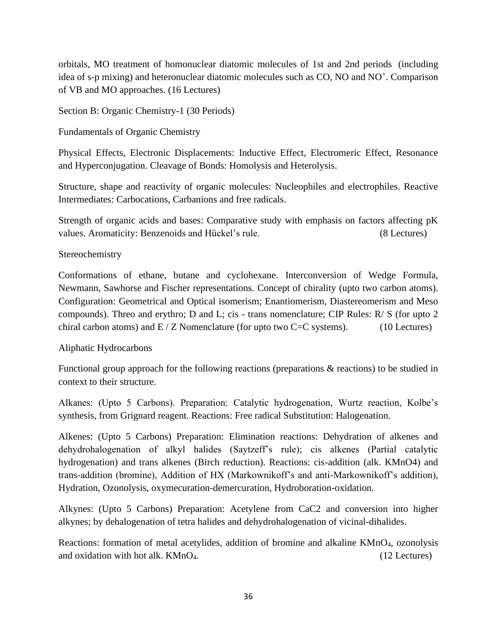orbitals, MO treatment of homonuclear diatomic molecules of 1st and 2nd periods (including idea of s-p mixing) and heteronuclear diatomic molecules such as CO, NO and NO<sup>+</sup>. Comparison of VB and MO approaches. (16 Lectures)

Section B: Organic Chemistry-1 (30 Periods)

Fundamentals of Organic Chemistry

Physical Effects, Electronic Displacements: Inductive Effect, Electromeric Effect, Resonance and Hyperconjugation. Cleavage of Bonds: Homolysis and Heterolysis.

Structure, shape and reactivity of organic molecules: Nucleophiles and electrophiles. Reactive Intermediates: Carbocations, Carbanions and free radicals.

Strength of organic acids and bases: Comparative study with emphasis on factors affecting pK values. Aromaticity: Benzenoids and Hückel's rule. (8 Lectures)

### Stereochemistry

Conformations of ethane, butane and cyclohexane. Interconversion of Wedge Formula, Newmann, Sawhorse and Fischer representations. Concept of chirality (upto two carbon atoms). Configuration: Geometrical and Optical isomerism; Enantiomerism, Diastereomerism and Meso compounds). Threo and erythro; D and L; cis - trans nomenclature; CIP Rules: R/ S (for upto 2 chiral carbon atoms) and  $E/Z$  Nomenclature (for upto two C=C systems). (10 Lectures)

# Aliphatic Hydrocarbons

Functional group approach for the following reactions (preparations & reactions) to be studied in context to their structure.

Alkanes: (Upto 5 Carbons). Preparation: Catalytic hydrogenation, Wurtz reaction, Kolbe's synthesis, from Grignard reagent. Reactions: Free radical Substitution: Halogenation.

Alkenes: (Upto 5 Carbons) Preparation: Elimination reactions: Dehydration of alkenes and dehydrohalogenation of alkyl halides (Saytzeff's rule); cis alkenes (Partial catalytic hydrogenation) and trans alkenes (Birch reduction). Reactions: cis-addition (alk. KMnO4) and trans-addition (bromine), Addition of HX (Markownikoff's and anti-Markownikoff's addition), Hydration, Ozonolysis, oxymecuration-demercuration, Hydroboration-oxidation.

Alkynes: (Upto 5 Carbons) Preparation: Acetylene from CaC2 and conversion into higher alkynes; by dehalogenation of tetra halides and dehydrohalogenation of vicinal-dihalides.

Reactions: formation of metal acetylides, addition of bromine and alkaline KMnO4, ozonolysis and oxidation with hot alk. KMnO<sub>4</sub>. (12 Lectures)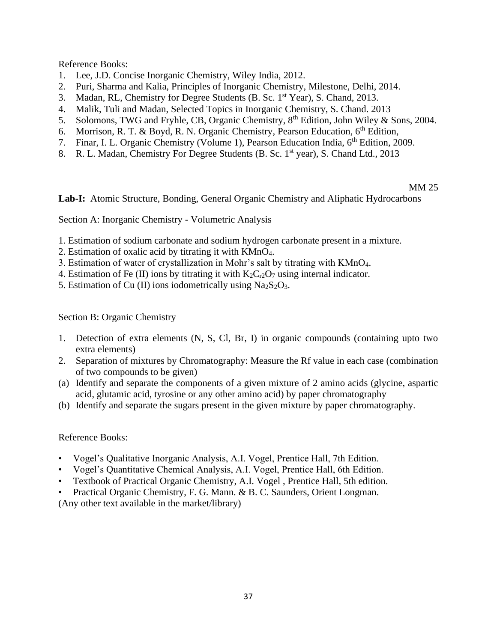Reference Books:

- 1. Lee, J.D. Concise Inorganic Chemistry, Wiley India, 2012.
- 2. Puri, Sharma and Kalia, Principles of Inorganic Chemistry, Milestone, Delhi, 2014.
- 3. Madan, RL, Chemistry for Degree Students (B. Sc. 1st Year), S. Chand, 2013.
- 4. Malik, Tuli and Madan, Selected Topics in Inorganic Chemistry, S. Chand. 2013
- 5. Solomons, TWG and Fryhle, CB, Organic Chemistry, 8<sup>th</sup> Edition, John Wiley & Sons, 2004.
- 6. Morrison, R. T. & Boyd, R. N. Organic Chemistry, Pearson Education,  $6<sup>th</sup>$  Edition,
- 7. Finar, I. L. Organic Chemistry (Volume 1), Pearson Education India, 6<sup>th</sup> Edition, 2009.
- 8. R. L. Madan, Chemistry For Degree Students (B. Sc. 1<sup>st</sup> year), S. Chand Ltd., 2013

#### MM 25

**Lab-I:** Atomic Structure, Bonding, General Organic Chemistry and Aliphatic Hydrocarbons

Section A: Inorganic Chemistry - Volumetric Analysis

- 1. Estimation of sodium carbonate and sodium hydrogen carbonate present in a mixture.
- 2. Estimation of oxalic acid by titrating it with KMnO4.
- 3. Estimation of water of crystallization in Mohr's salt by titrating with KMnO4.
- 4. Estimation of Fe (II) ions by titrating it with  $K_2C_{r2}O_7$  using internal indicator.
- 5. Estimation of Cu (II) ions iodometrically using  $Na<sub>2</sub>S<sub>2</sub>O<sub>3</sub>$ .

#### Section B: Organic Chemistry

- 1. Detection of extra elements (N, S, Cl, Br, I) in organic compounds (containing upto two extra elements)
- 2. Separation of mixtures by Chromatography: Measure the Rf value in each case (combination of two compounds to be given)
- (a) Identify and separate the components of a given mixture of 2 amino acids (glycine, aspartic acid, glutamic acid, tyrosine or any other amino acid) by paper chromatography
- (b) Identify and separate the sugars present in the given mixture by paper chromatography.

#### Reference Books:

- Vogel's Qualitative Inorganic Analysis, A.I. Vogel, Prentice Hall, 7th Edition.
- Vogel's Quantitative Chemical Analysis, A.I. Vogel, Prentice Hall, 6th Edition.
- Textbook of Practical Organic Chemistry, A.I. Vogel , Prentice Hall, 5th edition.
- Practical Organic Chemistry, F. G. Mann. & B. C. Saunders, Orient Longman.

(Any other text available in the market/library)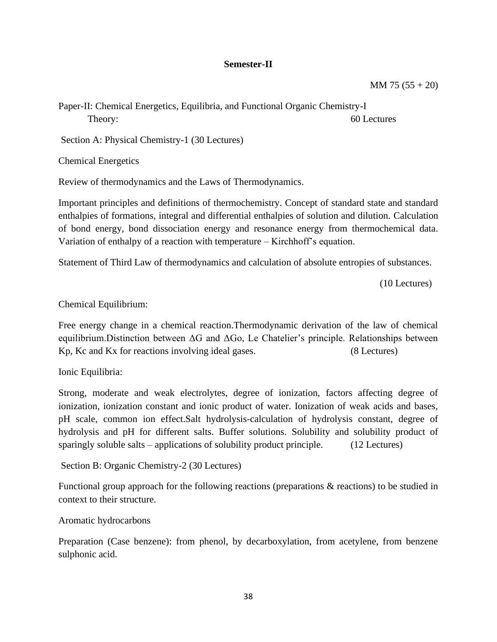#### **Semester-II**

MM 75 (55 + 20)

Paper-II: Chemical Energetics, Equilibria, and Functional Organic Chemistry-I Theory: 60 Lectures

Section A: Physical Chemistry-1 (30 Lectures)

Chemical Energetics

Review of thermodynamics and the Laws of Thermodynamics.

Important principles and definitions of thermochemistry. Concept of standard state and standard enthalpies of formations, integral and differential enthalpies of solution and dilution. Calculation of bond energy, bond dissociation energy and resonance energy from thermochemical data. Variation of enthalpy of a reaction with temperature – Kirchhoff's equation.

Statement of Third Law of thermodynamics and calculation of absolute entropies of substances.

(10 Lectures)

Chemical Equilibrium:

Free energy change in a chemical reaction.Thermodynamic derivation of the law of chemical equilibrium.Distinction between ΔG and ΔGo, Le Chatelier's principle. Relationships between Kp, Kc and Kx for reactions involving ideal gases. (8 Lectures)

Ionic Equilibria:

Strong, moderate and weak electrolytes, degree of ionization, factors affecting degree of ionization, ionization constant and ionic product of water. Ionization of weak acids and bases, pH scale, common ion effect.Salt hydrolysis-calculation of hydrolysis constant, degree of hydrolysis and pH for different salts. Buffer solutions. Solubility and solubility product of sparingly soluble salts – applications of solubility product principle. (12 Lectures)

Section B: Organic Chemistry-2 (30 Lectures)

Functional group approach for the following reactions (preparations  $\&$  reactions) to be studied in context to their structure.

Aromatic hydrocarbons

Preparation (Case benzene): from phenol, by decarboxylation, from acetylene, from benzene sulphonic acid.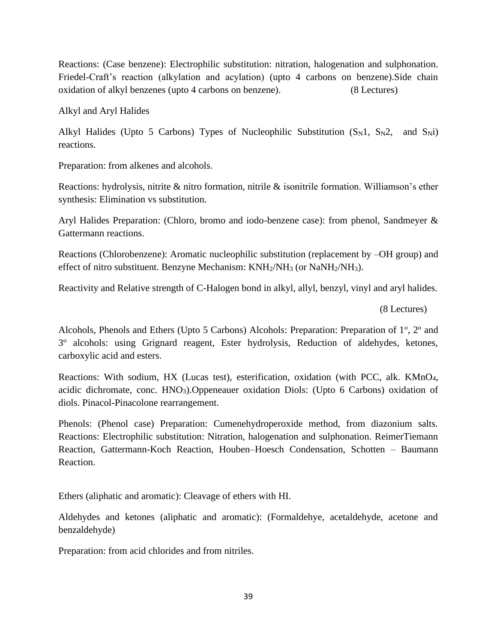Reactions: (Case benzene): Electrophilic substitution: nitration, halogenation and sulphonation. Friedel-Craft's reaction (alkylation and acylation) (upto 4 carbons on benzene).Side chain oxidation of alkyl benzenes (upto 4 carbons on benzene). (8 Lectures)

Alkyl and Aryl Halides

Alkyl Halides (Upto 5 Carbons) Types of Nucleophilic Substitution  $(S_N1, S_N2,$  and  $S_Ni$ ) reactions.

Preparation: from alkenes and alcohols.

Reactions: hydrolysis, nitrite & nitro formation, nitrile & isonitrile formation. Williamson's ether synthesis: Elimination vs substitution.

Aryl Halides Preparation: (Chloro, bromo and iodo-benzene case): from phenol, Sandmeyer & Gattermann reactions.

Reactions (Chlorobenzene): Aromatic nucleophilic substitution (replacement by –OH group) and effect of nitro substituent. Benzyne Mechanism: KNH2/NH<sup>3</sup> (or NaNH2/NH3).

Reactivity and Relative strength of C-Halogen bond in alkyl, allyl, benzyl, vinyl and aryl halides.

(8 Lectures)

Alcohols, Phenols and Ethers (Upto 5 Carbons) Alcohols: Preparation: Preparation of 1°, 2° and 3 о alcohols: using Grignard reagent, Ester hydrolysis, Reduction of aldehydes, ketones, carboxylic acid and esters.

Reactions: With sodium, HX (Lucas test), esterification, oxidation (with PCC, alk. KMnO4, acidic dichromate, conc. HNO3).Oppeneauer oxidation Diols: (Upto 6 Carbons) oxidation of diols. Pinacol-Pinacolone rearrangement.

Phenols: (Phenol case) Preparation: Cumenehydroperoxide method, from diazonium salts. Reactions: Electrophilic substitution: Nitration, halogenation and sulphonation. ReimerTiemann Reaction, Gattermann-Koch Reaction, Houben–Hoesch Condensation, Schotten – Baumann Reaction.

Ethers (aliphatic and aromatic): Cleavage of ethers with HI.

Aldehydes and ketones (aliphatic and aromatic): (Formaldehye, acetaldehyde, acetone and benzaldehyde)

Preparation: from acid chlorides and from nitriles.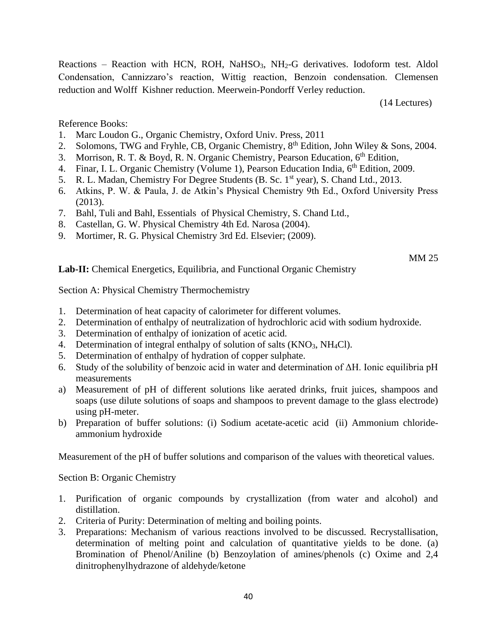Reactions - Reaction with HCN, ROH, NaHSO<sub>3</sub>, NH<sub>2</sub>-G derivatives. Iodoform test. Aldol Condensation, Cannizzaro's reaction, Wittig reaction, Benzoin condensation. Clemensen reduction and Wolff Kishner reduction. Meerwein-Pondorff Verley reduction.

(14 Lectures)

Reference Books:

- 1. Marc Loudon G., Organic Chemistry, Oxford Univ. Press, 2011
- 2. Solomons, TWG and Fryhle, CB, Organic Chemistry, 8<sup>th</sup> Edition, John Wiley & Sons, 2004.
- 3. Morrison, R. T. & Boyd, R. N. Organic Chemistry, Pearson Education, 6<sup>th</sup> Edition,
- 4. Finar, I. L. Organic Chemistry (Volume 1), Pearson Education India, 6<sup>th</sup> Edition, 2009.
- 5. R. L. Madan, Chemistry For Degree Students (B. Sc. 1<sup>st</sup> year), S. Chand Ltd., 2013.
- 6. Atkins, P. W. & Paula, J. de Atkin's Physical Chemistry 9th Ed., Oxford University Press (2013).
- 7. Bahl, Tuli and Bahl, Essentials of Physical Chemistry, S. Chand Ltd.,
- 8. Castellan, G. W. Physical Chemistry 4th Ed. Narosa (2004).
- 9. Mortimer, R. G. Physical Chemistry 3rd Ed. Elsevier; (2009).

#### MM 25

Lab-II: Chemical Energetics, Equilibria, and Functional Organic Chemistry

Section A: Physical Chemistry Thermochemistry

- 1. Determination of heat capacity of calorimeter for different volumes.
- 2. Determination of enthalpy of neutralization of hydrochloric acid with sodium hydroxide.
- 3. Determination of enthalpy of ionization of acetic acid.
- 4. Determination of integral enthalpy of solution of salts  $(KNO<sub>3</sub>, NH<sub>4</sub>Cl)$ .
- 5. Determination of enthalpy of hydration of copper sulphate.
- 6. Study of the solubility of benzoic acid in water and determination of ΔH. Ionic equilibria pH measurements
- a) Measurement of pH of different solutions like aerated drinks, fruit juices, shampoos and soaps (use dilute solutions of soaps and shampoos to prevent damage to the glass electrode) using pH-meter.
- b) Preparation of buffer solutions: (i) Sodium acetate-acetic acid (ii) Ammonium chlorideammonium hydroxide

Measurement of the pH of buffer solutions and comparison of the values with theoretical values.

Section B: Organic Chemistry

- 1. Purification of organic compounds by crystallization (from water and alcohol) and distillation.
- 2. Criteria of Purity: Determination of melting and boiling points.
- 3. Preparations: Mechanism of various reactions involved to be discussed. Recrystallisation, determination of melting point and calculation of quantitative yields to be done. (a) Bromination of Phenol/Aniline (b) Benzoylation of amines/phenols (c) Oxime and 2,4 dinitrophenylhydrazone of aldehyde/ketone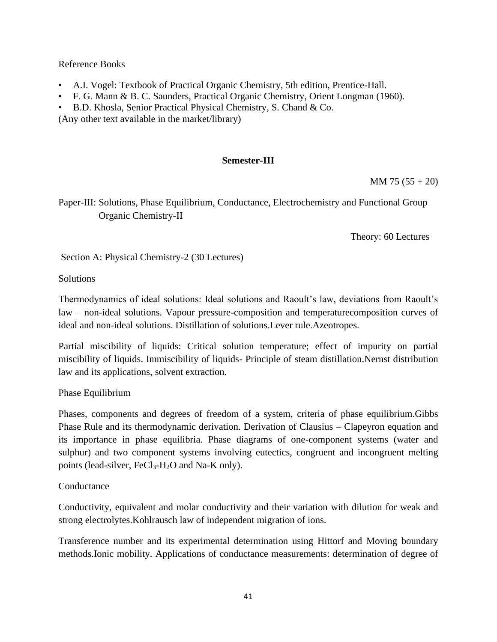Reference Books

- A.I. Vogel: Textbook of Practical Organic Chemistry, 5th edition, Prentice-Hall.
- F. G. Mann & B. C. Saunders, Practical Organic Chemistry, Orient Longman (1960).
- B.D. Khosla, Senior Practical Physical Chemistry, S. Chand & Co.

(Any other text available in the market/library)

# **Semester-III**

 $MM 75 (55 + 20)$ 

Paper-III: Solutions, Phase Equilibrium, Conductance, Electrochemistry and Functional Group Organic Chemistry-II

Theory: 60 Lectures

Section A: Physical Chemistry-2 (30 Lectures)

**Solutions** 

Thermodynamics of ideal solutions: Ideal solutions and Raoult's law, deviations from Raoult's law – non-ideal solutions. Vapour pressure-composition and temperaturecomposition curves of ideal and non-ideal solutions. Distillation of solutions.Lever rule.Azeotropes.

Partial miscibility of liquids: Critical solution temperature; effect of impurity on partial miscibility of liquids. Immiscibility of liquids- Principle of steam distillation.Nernst distribution law and its applications, solvent extraction.

Phase Equilibrium

Phases, components and degrees of freedom of a system, criteria of phase equilibrium.Gibbs Phase Rule and its thermodynamic derivation. Derivation of Clausius – Clapeyron equation and its importance in phase equilibria. Phase diagrams of one-component systems (water and sulphur) and two component systems involving eutectics, congruent and incongruent melting points (lead-silver,  $FeCl<sub>3</sub>-H<sub>2</sub>O$  and Na-K only).

# **Conductance**

Conductivity, equivalent and molar conductivity and their variation with dilution for weak and strong electrolytes.Kohlrausch law of independent migration of ions.

Transference number and its experimental determination using Hittorf and Moving boundary methods.Ionic mobility. Applications of conductance measurements: determination of degree of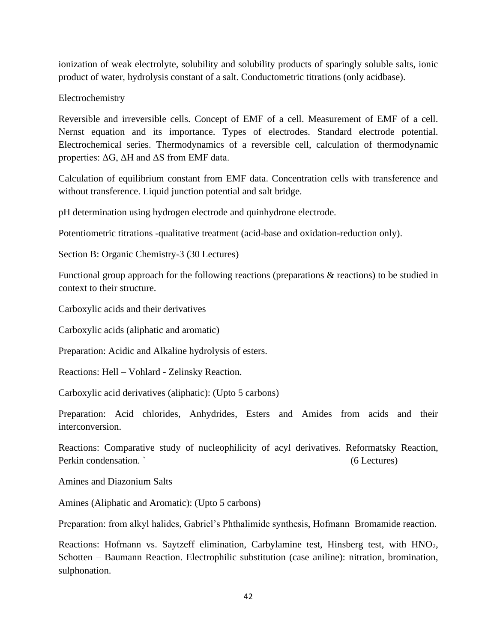ionization of weak electrolyte, solubility and solubility products of sparingly soluble salts, ionic product of water, hydrolysis constant of a salt. Conductometric titrations (only acidbase).

Electrochemistry

Reversible and irreversible cells. Concept of EMF of a cell. Measurement of EMF of a cell. Nernst equation and its importance. Types of electrodes. Standard electrode potential. Electrochemical series. Thermodynamics of a reversible cell, calculation of thermodynamic properties: ΔG, ΔH and ΔS from EMF data.

Calculation of equilibrium constant from EMF data. Concentration cells with transference and without transference. Liquid junction potential and salt bridge.

pH determination using hydrogen electrode and quinhydrone electrode.

Potentiometric titrations -qualitative treatment (acid-base and oxidation-reduction only).

Section B: Organic Chemistry-3 (30 Lectures)

Functional group approach for the following reactions (preparations & reactions) to be studied in context to their structure.

Carboxylic acids and their derivatives

Carboxylic acids (aliphatic and aromatic)

Preparation: Acidic and Alkaline hydrolysis of esters.

Reactions: Hell – Vohlard - Zelinsky Reaction.

Carboxylic acid derivatives (aliphatic): (Upto 5 carbons)

Preparation: Acid chlorides, Anhydrides, Esters and Amides from acids and their interconversion.

Reactions: Comparative study of nucleophilicity of acyl derivatives. Reformatsky Reaction, Perkin condensation. ` (6 Lectures)

Amines and Diazonium Salts

Amines (Aliphatic and Aromatic): (Upto 5 carbons)

Preparation: from alkyl halides, Gabriel's Phthalimide synthesis, Hofmann Bromamide reaction.

Reactions: Hofmann vs. Saytzeff elimination, Carbylamine test, Hinsberg test, with HNO<sub>2</sub>, Schotten – Baumann Reaction. Electrophilic substitution (case aniline): nitration, bromination, sulphonation.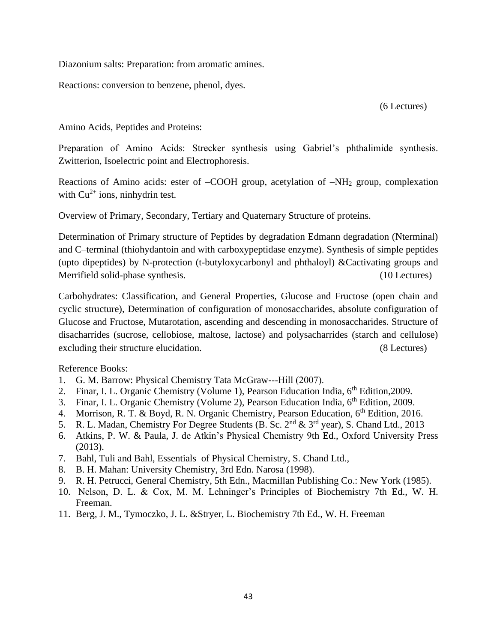Diazonium salts: Preparation: from aromatic amines.

Reactions: conversion to benzene, phenol, dyes.

(6 Lectures)

Amino Acids, Peptides and Proteins:

Preparation of Amino Acids: Strecker synthesis using Gabriel's phthalimide synthesis. Zwitterion, Isoelectric point and Electrophoresis.

Reactions of Amino acids: ester of –COOH group, acetylation of –NH<sub>2</sub> group, complexation with  $Cu^{2+}$  ions, ninhydrin test.

Overview of Primary, Secondary, Tertiary and Quaternary Structure of proteins.

Determination of Primary structure of Peptides by degradation Edmann degradation (Nterminal) and C–terminal (thiohydantoin and with carboxypeptidase enzyme). Synthesis of simple peptides (upto dipeptides) by N-protection (t-butyloxycarbonyl and phthaloyl) &Cactivating groups and Merrifield solid-phase synthesis. (10 Lectures)

Carbohydrates: Classification, and General Properties, Glucose and Fructose (open chain and cyclic structure), Determination of configuration of monosaccharides, absolute configuration of Glucose and Fructose, Mutarotation, ascending and descending in monosaccharides. Structure of disacharrides (sucrose, cellobiose, maltose, lactose) and polysacharrides (starch and cellulose) excluding their structure elucidation. (8 Lectures)

Reference Books:

- 1. G. M. Barrow: Physical Chemistry Tata McGraw---Hill (2007).
- 2. Finar, I. L. Organic Chemistry (Volume 1), Pearson Education India, 6<sup>th</sup> Edition, 2009.
- 3. Finar, I. L. Organic Chemistry (Volume 2), Pearson Education India, 6<sup>th</sup> Edition, 2009.
- 4. Morrison, R. T. & Boyd, R. N. Organic Chemistry, Pearson Education, 6<sup>th</sup> Edition, 2016.
- 5. R. L. Madan, Chemistry For Degree Students (B. Sc.  $2<sup>nd</sup> \& 3<sup>rd</sup>$  year), S. Chand Ltd., 2013
- 6. Atkins, P. W. & Paula, J. de Atkin's Physical Chemistry 9th Ed., Oxford University Press (2013).
- 7. Bahl, Tuli and Bahl, Essentials of Physical Chemistry, S. Chand Ltd.,
- 8. B. H. Mahan: University Chemistry, 3rd Edn. Narosa (1998).
- 9. R. H. Petrucci, General Chemistry, 5th Edn., Macmillan Publishing Co.: New York (1985).
- 10. Nelson, D. L. & Cox, M. M. Lehninger's Principles of Biochemistry 7th Ed., W. H. Freeman.
- 11. Berg, J. M., Tymoczko, J. L. &Stryer, L. Biochemistry 7th Ed., W. H. Freeman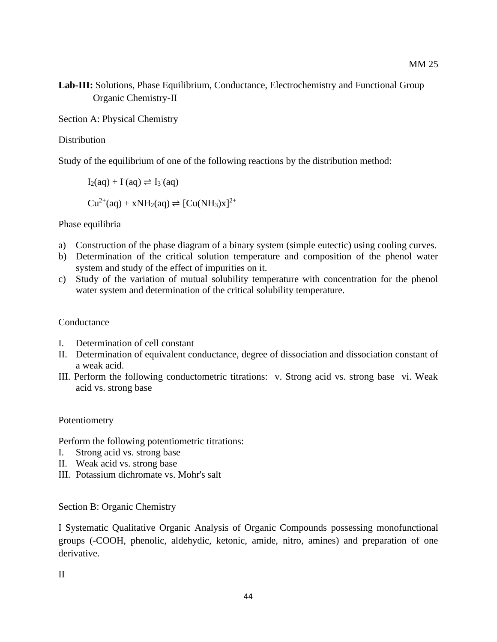**Lab-III:** Solutions, Phase Equilibrium, Conductance, Electrochemistry and Functional Group Organic Chemistry-II

Section A: Physical Chemistry

#### **Distribution**

Study of the equilibrium of one of the following reactions by the distribution method:

 $I_2(aq) + I^-(aq) \rightleftharpoons I_3^-(aq)$  $Cu^{2+}(aq) + xNH_2(aq) \rightleftharpoons [Cu(NH_3)x]^{2+}$ 

#### Phase equilibria

- a) Construction of the phase diagram of a binary system (simple eutectic) using cooling curves.
- b) Determination of the critical solution temperature and composition of the phenol water system and study of the effect of impurities on it.
- c) Study of the variation of mutual solubility temperature with concentration for the phenol water system and determination of the critical solubility temperature.

#### **Conductance**

- I. Determination of cell constant
- II. Determination of equivalent conductance, degree of dissociation and dissociation constant of a weak acid.
- III. Perform the following conductometric titrations: v. Strong acid vs. strong base vi. Weak acid vs. strong base

#### Potentiometry

Perform the following potentiometric titrations:

- I. Strong acid vs. strong base
- II. Weak acid vs. strong base
- III. Potassium dichromate vs. Mohr's salt

Section B: Organic Chemistry

I Systematic Qualitative Organic Analysis of Organic Compounds possessing monofunctional groups (-COOH, phenolic, aldehydic, ketonic, amide, nitro, amines) and preparation of one derivative.

II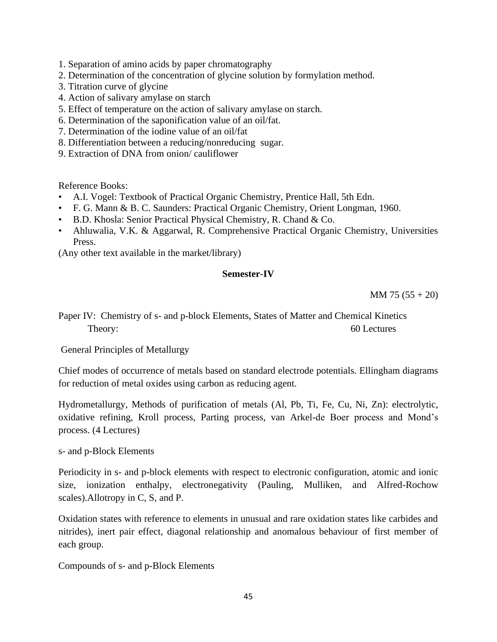- 1. Separation of amino acids by paper chromatography
- 2. Determination of the concentration of glycine solution by formylation method.
- 3. Titration curve of glycine
- 4. Action of salivary amylase on starch
- 5. Effect of temperature on the action of salivary amylase on starch.
- 6. Determination of the saponification value of an oil/fat.
- 7. Determination of the iodine value of an oil/fat
- 8. Differentiation between a reducing/nonreducing sugar.
- 9. Extraction of DNA from onion/ cauliflower

Reference Books:

- A.I. Vogel: Textbook of Practical Organic Chemistry, Prentice Hall, 5th Edn.
- F. G. Mann & B. C. Saunders: Practical Organic Chemistry, Orient Longman, 1960.
- B.D. Khosla: Senior Practical Physical Chemistry, R. Chand & Co.
- Ahluwalia, V.K. & Aggarwal, R. Comprehensive Practical Organic Chemistry, Universities Press.

(Any other text available in the market/library)

### **Semester-IV**

 $MM 75 (55 + 20)$ 

Paper IV: Chemistry of s- and p-block Elements, States of Matter and Chemical Kinetics Theory: 60 Lectures

General Principles of Metallurgy

Chief modes of occurrence of metals based on standard electrode potentials. Ellingham diagrams for reduction of metal oxides using carbon as reducing agent.

Hydrometallurgy, Methods of purification of metals (Al, Pb, Ti, Fe, Cu, Ni, Zn): electrolytic, oxidative refining, Kroll process, Parting process, van Arkel-de Boer process and Mond's process. (4 Lectures)

s- and p-Block Elements

Periodicity in s- and p-block elements with respect to electronic configuration, atomic and ionic size, ionization enthalpy, electronegativity (Pauling, Mulliken, and Alfred-Rochow scales).Allotropy in C, S, and P.

Oxidation states with reference to elements in unusual and rare oxidation states like carbides and nitrides), inert pair effect, diagonal relationship and anomalous behaviour of first member of each group.

Compounds of s- and p-Block Elements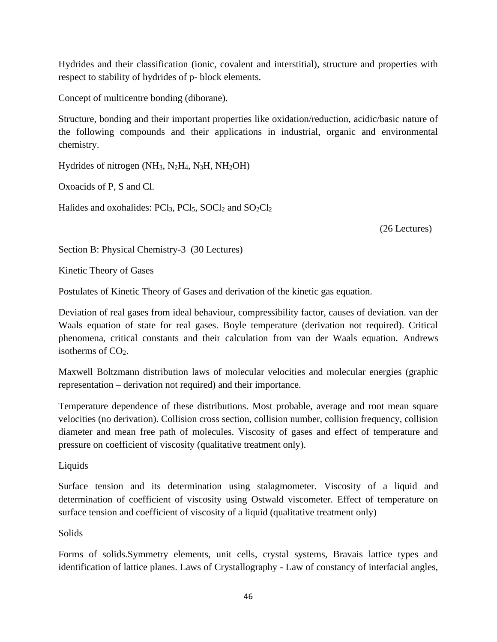Hydrides and their classification (ionic, covalent and interstitial), structure and properties with respect to stability of hydrides of p- block elements.

Concept of multicentre bonding (diborane).

Structure, bonding and their important properties like oxidation/reduction, acidic/basic nature of the following compounds and their applications in industrial, organic and environmental chemistry.

Hydrides of nitrogen (NH3, N2H4, N3H, NH2OH)

Oxoacids of P, S and Cl.

Halides and oxohalides:  $PCl_3$ ,  $PCl_5$ ,  $SOCl_2$  and  $SO_2Cl_2$ 

(26 Lectures)

Section B: Physical Chemistry-3 (30 Lectures)

Kinetic Theory of Gases

Postulates of Kinetic Theory of Gases and derivation of the kinetic gas equation.

Deviation of real gases from ideal behaviour, compressibility factor, causes of deviation. van der Waals equation of state for real gases. Boyle temperature (derivation not required). Critical phenomena, critical constants and their calculation from van der Waals equation. Andrews isotherms of  $CO<sub>2</sub>$ .

Maxwell Boltzmann distribution laws of molecular velocities and molecular energies (graphic representation – derivation not required) and their importance.

Temperature dependence of these distributions. Most probable, average and root mean square velocities (no derivation). Collision cross section, collision number, collision frequency, collision diameter and mean free path of molecules. Viscosity of gases and effect of temperature and pressure on coefficient of viscosity (qualitative treatment only).

Liquids

Surface tension and its determination using stalagmometer. Viscosity of a liquid and determination of coefficient of viscosity using Ostwald viscometer. Effect of temperature on surface tension and coefficient of viscosity of a liquid (qualitative treatment only)

# Solids

Forms of solids.Symmetry elements, unit cells, crystal systems, Bravais lattice types and identification of lattice planes. Laws of Crystallography - Law of constancy of interfacial angles,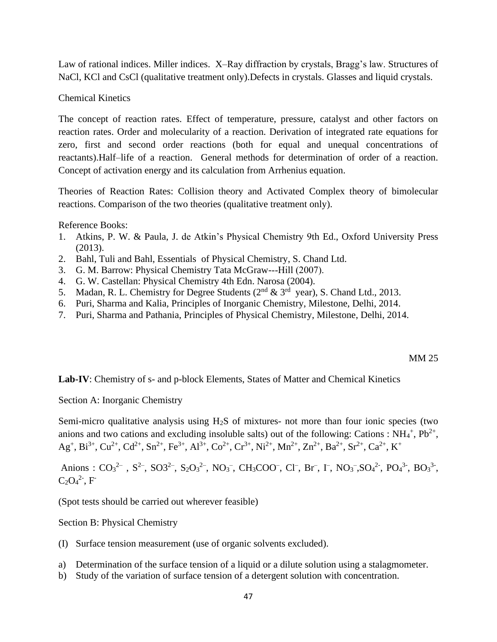Law of rational indices. Miller indices. X–Ray diffraction by crystals, Bragg's law. Structures of NaCl, KCl and CsCl (qualitative treatment only).Defects in crystals. Glasses and liquid crystals.

Chemical Kinetics

The concept of reaction rates. Effect of temperature, pressure, catalyst and other factors on reaction rates. Order and molecularity of a reaction. Derivation of integrated rate equations for zero, first and second order reactions (both for equal and unequal concentrations of reactants).Half–life of a reaction. General methods for determination of order of a reaction. Concept of activation energy and its calculation from Arrhenius equation.

Theories of Reaction Rates: Collision theory and Activated Complex theory of bimolecular reactions. Comparison of the two theories (qualitative treatment only).

Reference Books:

- 1. Atkins, P. W. & Paula, J. de Atkin's Physical Chemistry 9th Ed., Oxford University Press (2013).
- 2. Bahl, Tuli and Bahl, Essentials of Physical Chemistry, S. Chand Ltd.
- 3. G. M. Barrow: Physical Chemistry Tata McGraw---Hill (2007).
- 4. G. W. Castellan: Physical Chemistry 4th Edn. Narosa (2004).
- 5. Madan, R. L. Chemistry for Degree Students ( $2<sup>nd</sup>$  &  $3<sup>rd</sup>$  year), S. Chand Ltd., 2013.
- 6. Puri, Sharma and Kalia, Principles of Inorganic Chemistry, Milestone, Delhi, 2014.
- 7. Puri, Sharma and Pathania, Principles of Physical Chemistry, Milestone, Delhi, 2014.

#### MM 25

Lab-IV: Chemistry of s- and p-block Elements, States of Matter and Chemical Kinetics

Section A: Inorganic Chemistry

Semi-micro qualitative analysis using  $H_2S$  of mixtures- not more than four ionic species (two anions and two cations and excluding insoluble salts) out of the following: Cations :  $NH_4^+$ ,  $Pb^{2+}$ ,  $Ag<sup>+</sup>, Bi<sup>3+</sup>, Cu<sup>2+</sup>, Cd<sup>2+</sup>, Sn<sup>2+</sup>, Fe<sup>3+</sup>, Al<sup>3+</sup>, Co<sup>2+</sup>, Cr<sup>3+</sup>, Ni<sup>2+</sup>, Mn<sup>2+</sup>, Zn<sup>2+</sup>, Ba<sup>2+</sup>, Sr<sup>2+</sup>, Ca<sup>2+</sup>, K<sup>+</sup>$ 

Anions :  $CO_3^{2-}$ ,  $S^{2-}$ ,  $SO_3^{2-}$ ,  $S_2O_3^{2-}$ ,  $NO_3^-$ ,  $CH_3COO^-$ ,  $Cl^-$ ,  $Br^-$ ,  $\Gamma$ ,  $NO_3^-$ , $SO_4^{2-}$ ,  $PO_4^{3-}$ ,  $BO_3^{3-}$ ,  $C_2O_4^2$ <sup>2-</sup>, F<sup>-</sup>

(Spot tests should be carried out wherever feasible)

Section B: Physical Chemistry

- (I) Surface tension measurement (use of organic solvents excluded).
- a) Determination of the surface tension of a liquid or a dilute solution using a stalagmometer.
- b) Study of the variation of surface tension of a detergent solution with concentration.